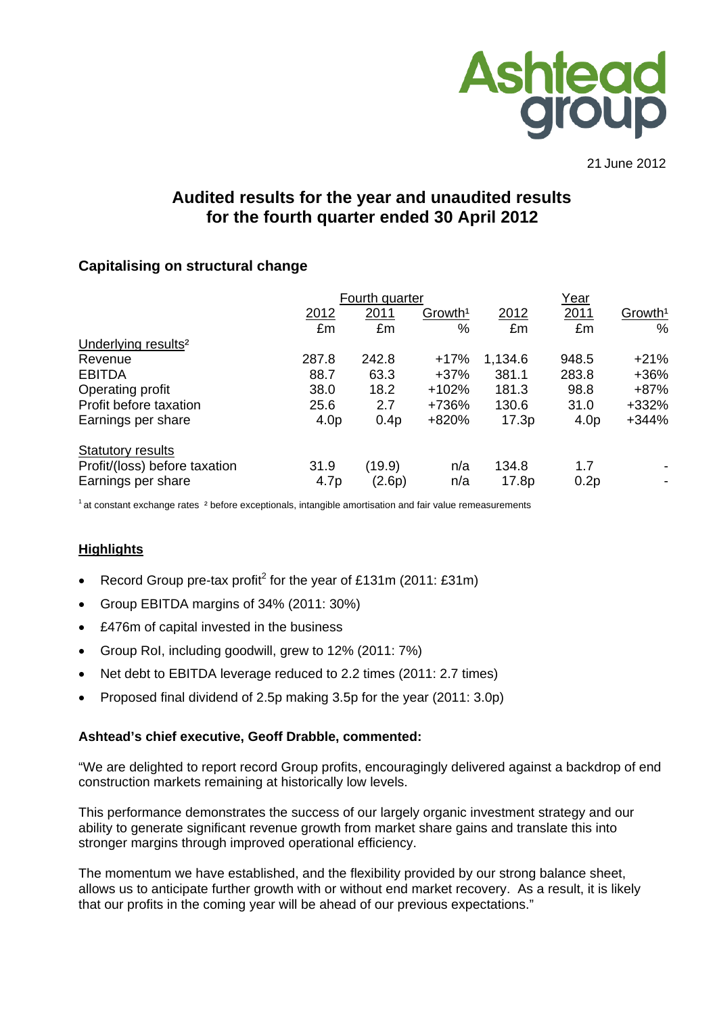

21 June 2012

# **Audited results for the year and unaudited results for the fourth quarter ended 30 April 2012**

## **Capitalising on structural change**

|                                 |                  | Fourth quarter   |                     | Year    |                  |                          |
|---------------------------------|------------------|------------------|---------------------|---------|------------------|--------------------------|
|                                 | 2012             | 2011             | Growth <sup>1</sup> | 2012    | 2011             | Growth <sup>1</sup>      |
|                                 | £m               | £m               | %                   | £m      | £m               | $\%$                     |
| Underlying results <sup>2</sup> |                  |                  |                     |         |                  |                          |
| Revenue                         | 287.8            | 242.8            | $+17%$              | 1,134.6 | 948.5            | $+21%$                   |
| <b>EBITDA</b>                   | 88.7             | 63.3             | $+37%$              | 381.1   | 283.8            | $+36%$                   |
| Operating profit                | 38.0             | 18.2             | $+102%$             | 181.3   | 98.8             | $+87%$                   |
| Profit before taxation          | 25.6             | 2.7              | +736%               | 130.6   | 31.0             | +332%                    |
| Earnings per share              | 4.0 <sub>p</sub> | 0.4 <sub>p</sub> | +820%               | 17.3p   | 4.0 <sub>p</sub> | $+344%$                  |
| <b>Statutory results</b>        |                  |                  |                     |         |                  |                          |
| Profit/(loss) before taxation   | 31.9             | (19.9)           | n/a                 | 134.8   | 1.7              |                          |
| Earnings per share              | 4.7 <sub>p</sub> | (2.6p)           | n/a                 | 17.8p   | 0.2p             | $\overline{\phantom{a}}$ |

 $1$  at constant exchange rates  $2$  before exceptionals, intangible amortisation and fair value remeasurements

## **Highlights**

- Record Group pre-tax profit<sup>2</sup> for the year of £131m (2011: £31m)
- Group EBITDA margins of 34% (2011: 30%)
- £476m of capital invested in the business
- Group RoI, including goodwill, grew to 12% (2011: 7%)
- Net debt to EBITDA leverage reduced to 2.2 times (2011: 2.7 times)
- Proposed final dividend of 2.5p making 3.5p for the year (2011: 3.0p)

#### **Ashtead's chief executive, Geoff Drabble, commented:**

"We are delighted to report record Group profits, encouragingly delivered against a backdrop of end construction markets remaining at historically low levels.

This performance demonstrates the success of our largely organic investment strategy and our ability to generate significant revenue growth from market share gains and translate this into stronger margins through improved operational efficiency.

The momentum we have established, and the flexibility provided by our strong balance sheet, allows us to anticipate further growth with or without end market recovery. As a result, it is likely that our profits in the coming year will be ahead of our previous expectations."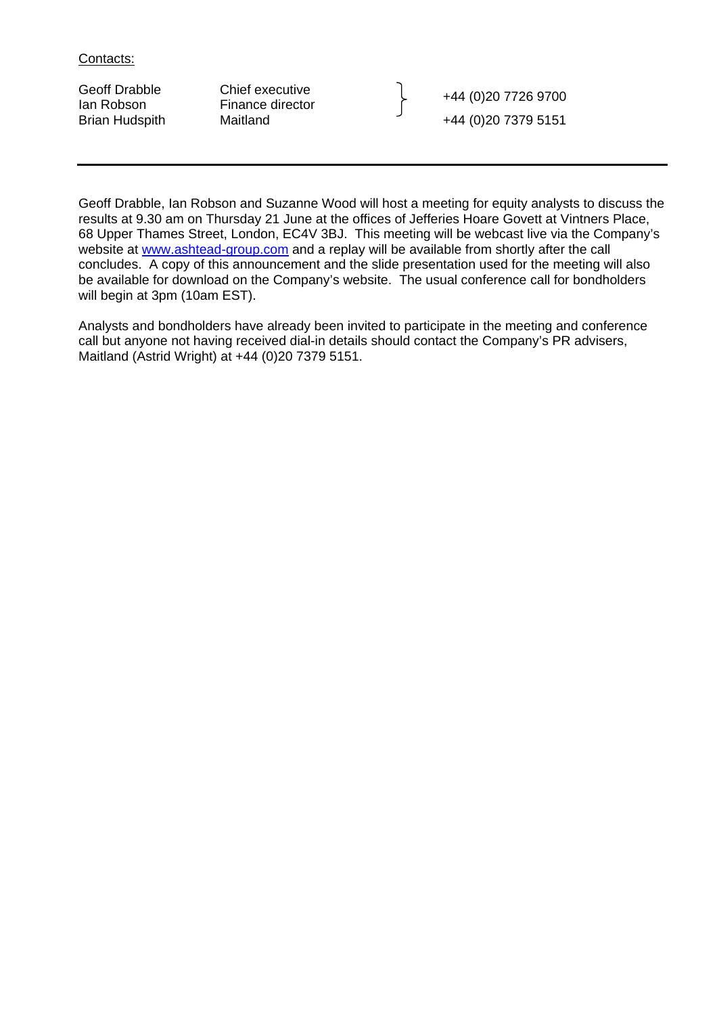Contacts:

Geoff Drabble Chief executive<br>
Ian Robson Finance director Finance The Robson Finance director Brian Hudspith Maitland +44 (0)20 7379 5151

Geoff Drabble, Ian Robson and Suzanne Wood will host a meeting for equity analysts to discuss the results at 9.30 am on Thursday 21 June at the offices of Jefferies Hoare Govett at Vintners Place, 68 Upper Thames Street, London, EC4V 3BJ. This meeting will be webcast live via the Company's website at www.ashtead-group.com and a replay will be available from shortly after the call concludes. A copy of this announcement and the slide presentation used for the meeting will also be available for download on the Company's website. The usual conference call for bondholders will begin at 3pm (10am EST).

Analysts and bondholders have already been invited to participate in the meeting and conference call but anyone not having received dial-in details should contact the Company's PR advisers, Maitland (Astrid Wright) at +44 (0)20 7379 5151.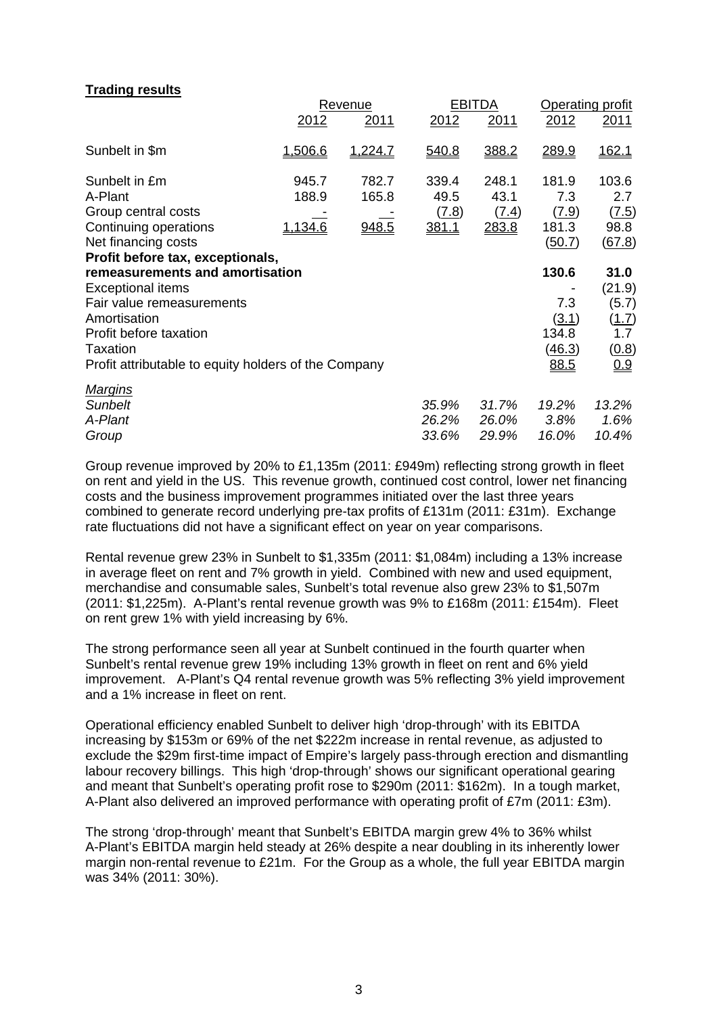## **Trading results**

|                                                                                                                                                                                                                                            |                           | Revenue                 |                                        | <b>EBITDA</b>                   | <b>Operating profit</b>                                 |                                                                |  |
|--------------------------------------------------------------------------------------------------------------------------------------------------------------------------------------------------------------------------------------------|---------------------------|-------------------------|----------------------------------------|---------------------------------|---------------------------------------------------------|----------------------------------------------------------------|--|
|                                                                                                                                                                                                                                            | 2012                      | 2011                    | 2012                                   | 2011                            | 2012                                                    | <u> 2011</u>                                                   |  |
| Sunbelt in \$m                                                                                                                                                                                                                             | 1,506.6                   | 1,224.7                 | 540.8                                  | 388.2                           | 289.9                                                   | 162.1                                                          |  |
| Sunbelt in £m<br>A-Plant<br>Group central costs<br>Continuing operations<br>Net financing costs                                                                                                                                            | 945.7<br>188.9<br>1,134.6 | 782.7<br>165.8<br>948.5 | 339.4<br>49.5<br><u>(7.8)</u><br>381.1 | 248.1<br>43.1<br>(7.4)<br>283.8 | 181.9<br>7.3<br><u>(7.9)</u><br>181.3<br><u>(50.7)</u>  | 103.6<br>2.7<br><u>(7.5)</u><br>98.8<br>(67.8)                 |  |
| Profit before tax, exceptionals,<br>remeasurements and amortisation<br><b>Exceptional items</b><br>Fair value remeasurements<br>Amortisation<br>Profit before taxation<br>Taxation<br>Profit attributable to equity holders of the Company |                           |                         |                                        |                                 | 130.6<br>7.3<br><u>(3.1)</u><br>134.8<br>(46.3)<br>88.5 | 31.0<br>(21.9)<br>(5.7)<br><u>(1.7)</u><br>1.7<br>(0.8)<br>0.9 |  |
| <u>Marqins</u><br><b>Sunbelt</b><br>A-Plant<br>Group                                                                                                                                                                                       |                           |                         | 35.9%<br>26.2%<br>33.6%                | 31.7%<br>26.0%<br>29.9%         | 19.2%<br>3.8%<br>16.0%                                  | 13.2%<br>1.6%<br>10.4%                                         |  |

Group revenue improved by 20% to £1,135m (2011: £949m) reflecting strong growth in fleet on rent and yield in the US. This revenue growth, continued cost control, lower net financing costs and the business improvement programmes initiated over the last three years combined to generate record underlying pre-tax profits of £131m (2011: £31m). Exchange rate fluctuations did not have a significant effect on year on year comparisons.

Rental revenue grew 23% in Sunbelt to \$1,335m (2011: \$1,084m) including a 13% increase in average fleet on rent and 7% growth in yield. Combined with new and used equipment, merchandise and consumable sales, Sunbelt's total revenue also grew 23% to \$1,507m (2011: \$1,225m). A-Plant's rental revenue growth was 9% to £168m (2011: £154m). Fleet on rent grew 1% with yield increasing by 6%.

The strong performance seen all year at Sunbelt continued in the fourth quarter when Sunbelt's rental revenue grew 19% including 13% growth in fleet on rent and 6% yield improvement. A-Plant's Q4 rental revenue growth was 5% reflecting 3% yield improvement and a 1% increase in fleet on rent.

Operational efficiency enabled Sunbelt to deliver high 'drop-through' with its EBITDA increasing by \$153m or 69% of the net \$222m increase in rental revenue, as adjusted to exclude the \$29m first-time impact of Empire's largely pass-through erection and dismantling labour recovery billings. This high 'drop-through' shows our significant operational gearing and meant that Sunbelt's operating profit rose to \$290m (2011: \$162m). In a tough market, A-Plant also delivered an improved performance with operating profit of £7m (2011: £3m).

The strong 'drop-through' meant that Sunbelt's EBITDA margin grew 4% to 36% whilst A-Plant's EBITDA margin held steady at 26% despite a near doubling in its inherently lower margin non-rental revenue to £21m. For the Group as a whole, the full year EBITDA margin was 34% (2011: 30%).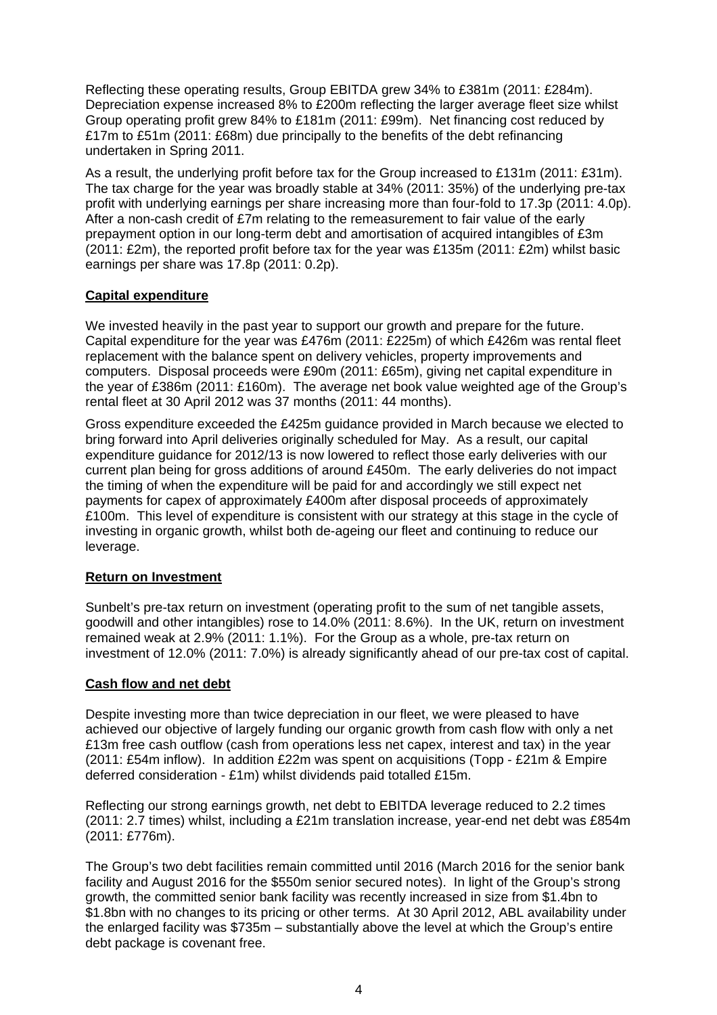Reflecting these operating results, Group EBITDA grew 34% to £381m (2011: £284m). Depreciation expense increased 8% to £200m reflecting the larger average fleet size whilst Group operating profit grew 84% to £181m (2011: £99m). Net financing cost reduced by £17m to £51m (2011: £68m) due principally to the benefits of the debt refinancing undertaken in Spring 2011.

As a result, the underlying profit before tax for the Group increased to £131m (2011: £31m). The tax charge for the year was broadly stable at 34% (2011: 35%) of the underlying pre-tax profit with underlying earnings per share increasing more than four-fold to 17.3p (2011: 4.0p). After a non-cash credit of £7m relating to the remeasurement to fair value of the early prepayment option in our long-term debt and amortisation of acquired intangibles of £3m (2011: £2m), the reported profit before tax for the year was £135m (2011: £2m) whilst basic earnings per share was 17.8p (2011: 0.2p).

## **Capital expenditure**

We invested heavily in the past year to support our growth and prepare for the future. Capital expenditure for the year was £476m (2011: £225m) of which £426m was rental fleet replacement with the balance spent on delivery vehicles, property improvements and computers. Disposal proceeds were £90m (2011: £65m), giving net capital expenditure in the year of £386m (2011: £160m). The average net book value weighted age of the Group's rental fleet at 30 April 2012 was 37 months (2011: 44 months).

Gross expenditure exceeded the £425m guidance provided in March because we elected to bring forward into April deliveries originally scheduled for May. As a result, our capital expenditure guidance for 2012/13 is now lowered to reflect those early deliveries with our current plan being for gross additions of around £450m. The early deliveries do not impact the timing of when the expenditure will be paid for and accordingly we still expect net payments for capex of approximately £400m after disposal proceeds of approximately £100m. This level of expenditure is consistent with our strategy at this stage in the cycle of investing in organic growth, whilst both de-ageing our fleet and continuing to reduce our leverage.

## **Return on Investment**

Sunbelt's pre-tax return on investment (operating profit to the sum of net tangible assets, goodwill and other intangibles) rose to 14.0% (2011: 8.6%). In the UK, return on investment remained weak at 2.9% (2011: 1.1%). For the Group as a whole, pre-tax return on investment of 12.0% (2011: 7.0%) is already significantly ahead of our pre-tax cost of capital.

## **Cash flow and net debt**

Despite investing more than twice depreciation in our fleet, we were pleased to have achieved our objective of largely funding our organic growth from cash flow with only a net £13m free cash outflow (cash from operations less net capex, interest and tax) in the year (2011: £54m inflow). In addition £22m was spent on acquisitions (Topp - £21m & Empire deferred consideration - £1m) whilst dividends paid totalled £15m.

Reflecting our strong earnings growth, net debt to EBITDA leverage reduced to 2.2 times (2011: 2.7 times) whilst, including a £21m translation increase, year-end net debt was £854m (2011: £776m).

The Group's two debt facilities remain committed until 2016 (March 2016 for the senior bank facility and August 2016 for the \$550m senior secured notes). In light of the Group's strong growth, the committed senior bank facility was recently increased in size from \$1.4bn to \$1.8bn with no changes to its pricing or other terms. At 30 April 2012, ABL availability under the enlarged facility was \$735m – substantially above the level at which the Group's entire debt package is covenant free.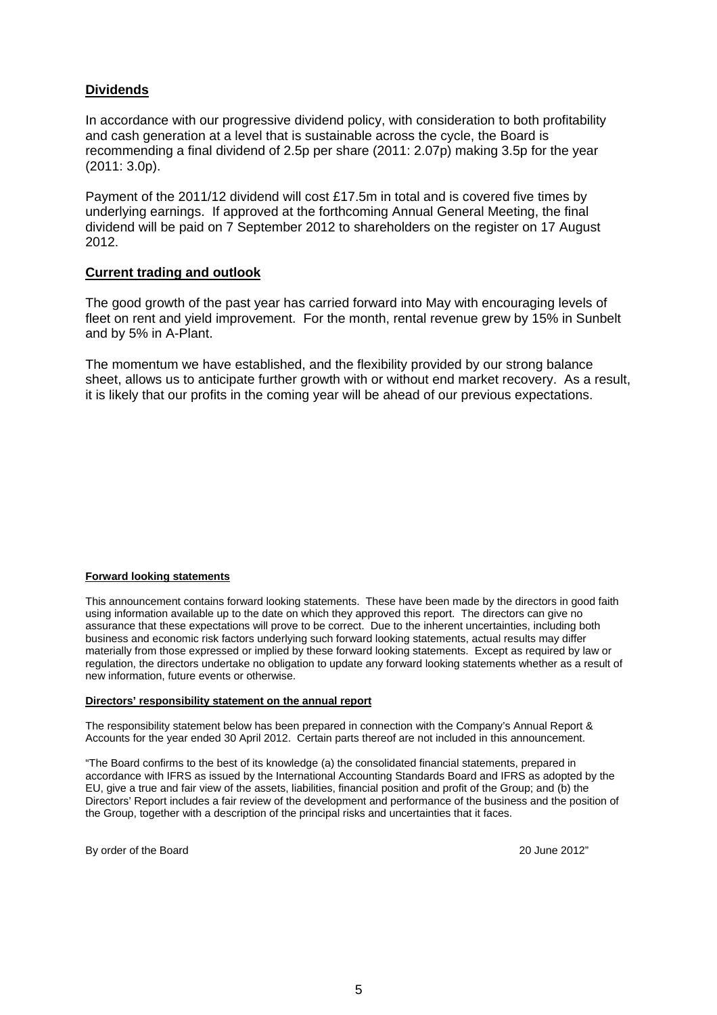## **Dividends**

In accordance with our progressive dividend policy, with consideration to both profitability and cash generation at a level that is sustainable across the cycle, the Board is recommending a final dividend of 2.5p per share (2011: 2.07p) making 3.5p for the year (2011: 3.0p).

Payment of the 2011/12 dividend will cost £17.5m in total and is covered five times by underlying earnings. If approved at the forthcoming Annual General Meeting, the final dividend will be paid on 7 September 2012 to shareholders on the register on 17 August 2012.

### **Current trading and outlook**

The good growth of the past year has carried forward into May with encouraging levels of fleet on rent and yield improvement. For the month, rental revenue grew by 15% in Sunbelt and by 5% in A-Plant.

The momentum we have established, and the flexibility provided by our strong balance sheet, allows us to anticipate further growth with or without end market recovery. As a result, it is likely that our profits in the coming year will be ahead of our previous expectations.

#### **Forward looking statements**

This announcement contains forward looking statements. These have been made by the directors in good faith using information available up to the date on which they approved this report. The directors can give no assurance that these expectations will prove to be correct. Due to the inherent uncertainties, including both business and economic risk factors underlying such forward looking statements, actual results may differ materially from those expressed or implied by these forward looking statements. Except as required by law or regulation, the directors undertake no obligation to update any forward looking statements whether as a result of new information, future events or otherwise.

#### **Directors' responsibility statement on the annual report**

The responsibility statement below has been prepared in connection with the Company's Annual Report & Accounts for the year ended 30 April 2012. Certain parts thereof are not included in this announcement.

"The Board confirms to the best of its knowledge (a) the consolidated financial statements, prepared in accordance with IFRS as issued by the International Accounting Standards Board and IFRS as adopted by the EU, give a true and fair view of the assets, liabilities, financial position and profit of the Group; and (b) the Directors' Report includes a fair review of the development and performance of the business and the position of the Group, together with a description of the principal risks and uncertainties that it faces.

By order of the Board 2012"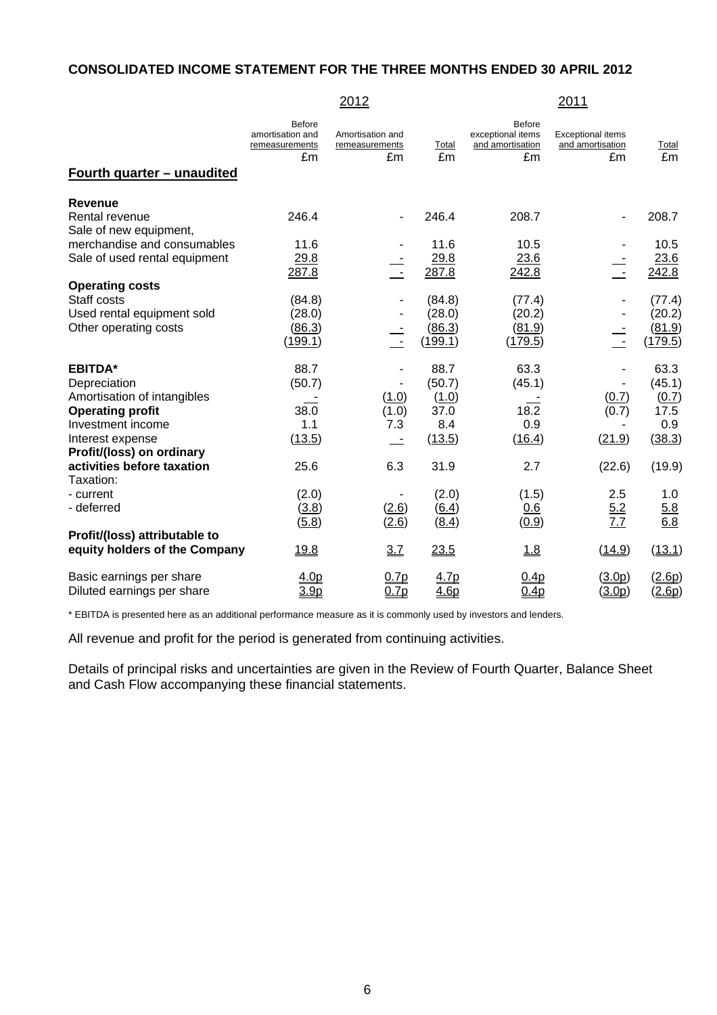### **CONSOLIDATED INCOME STATEMENT FOR THE THREE MONTHS ENDED 30 APRIL 2012**

|                                                                                          |                                                           | 2012                                     |                                       |                                                              | 2011                                               |                                       |
|------------------------------------------------------------------------------------------|-----------------------------------------------------------|------------------------------------------|---------------------------------------|--------------------------------------------------------------|----------------------------------------------------|---------------------------------------|
| <u>Fourth quarter – unaudited</u>                                                        | <b>Before</b><br>amortisation and<br>remeasurements<br>£m | Amortisation and<br>remeasurements<br>£m | Total<br>£m                           | <b>Before</b><br>exceptional items<br>and amortisation<br>£m | <b>Exceptional items</b><br>and amortisation<br>£m | Total<br>£m                           |
| <b>Revenue</b>                                                                           |                                                           |                                          |                                       |                                                              |                                                    |                                       |
| Rental revenue<br>Sale of new equipment,                                                 | 246.4                                                     |                                          | 246.4                                 | 208.7                                                        |                                                    | 208.7                                 |
| merchandise and consumables<br>Sale of used rental equipment                             | 11.6<br>29.8                                              |                                          | 11.6<br>29.8                          | 10.5<br>23.6                                                 | $\equiv$                                           | 10.5<br>23.6                          |
| <b>Operating costs</b>                                                                   | 287.8                                                     |                                          | 287.8                                 | 242.8                                                        |                                                    | 242.8                                 |
| Staff costs<br>Used rental equipment sold<br>Other operating costs                       | (84.8)<br>(28.0)<br>(86.3)<br>(199.1)                     |                                          | (84.8)<br>(28.0)<br>(86.3)<br>(199.1) | (77.4)<br>(20.2)<br>(81.9)<br>(179.5)                        | τ                                                  | (77.4)<br>(20.2)<br>(81.9)<br>(179.5) |
| <b>EBITDA*</b><br>Depreciation<br>Amortisation of intangibles<br><b>Operating profit</b> | 88.7<br>(50.7)<br>38.0                                    | (1.0)<br>(1.0)                           | 88.7<br>(50.7)<br>(1.0)<br>37.0       | 63.3<br>(45.1)<br>18.2                                       | (0.7)<br>(0.7)                                     | 63.3<br>(45.1)<br>(0.7)<br>17.5       |
| Investment income<br>Interest expense<br>Profit/(loss) on ordinary                       | 1.1<br>(13.5)                                             | 7.3<br>$\sim$ $-$                        | 8.4<br>(13.5)                         | 0.9<br>(16.4)                                                | (21.9)                                             | 0.9<br>(38.3)                         |
| activities before taxation<br>Taxation:                                                  | 25.6                                                      | 6.3                                      | 31.9                                  | 2.7                                                          | (22.6)                                             | (19.9)                                |
| - current<br>- deferred                                                                  | (2.0)<br>(3.8)<br>(5.8)                                   | (2.6)<br>(2.6)                           | (2.0)<br>(6.4)<br>(8.4)               | (1.5)<br>0.6<br>(0.9)                                        | 2.5<br>5.2<br>7.7                                  | 1.0<br>5.8<br>6.8                     |
| Profit/(loss) attributable to<br>equity holders of the Company                           | 19.8                                                      | 3.7                                      | 23.5                                  | 1.8                                                          | (14.9)                                             | (13.1)                                |
| Basic earnings per share<br>Diluted earnings per share                                   | 4.0p<br>3.9 <sub>p</sub>                                  | 0.7p<br>0.7p                             | 4.7p<br>4.6 <sub>p</sub>              | 0.4p<br>0.4 <sub>p</sub>                                     | (3.0p)<br>(3.0p)                                   | (2.6p)<br>(2.6p)                      |

\* EBITDA is presented here as an additional performance measure as it is commonly used by investors and lenders.

All revenue and profit for the period is generated from continuing activities.

Details of principal risks and uncertainties are given in the Review of Fourth Quarter, Balance Sheet and Cash Flow accompanying these financial statements.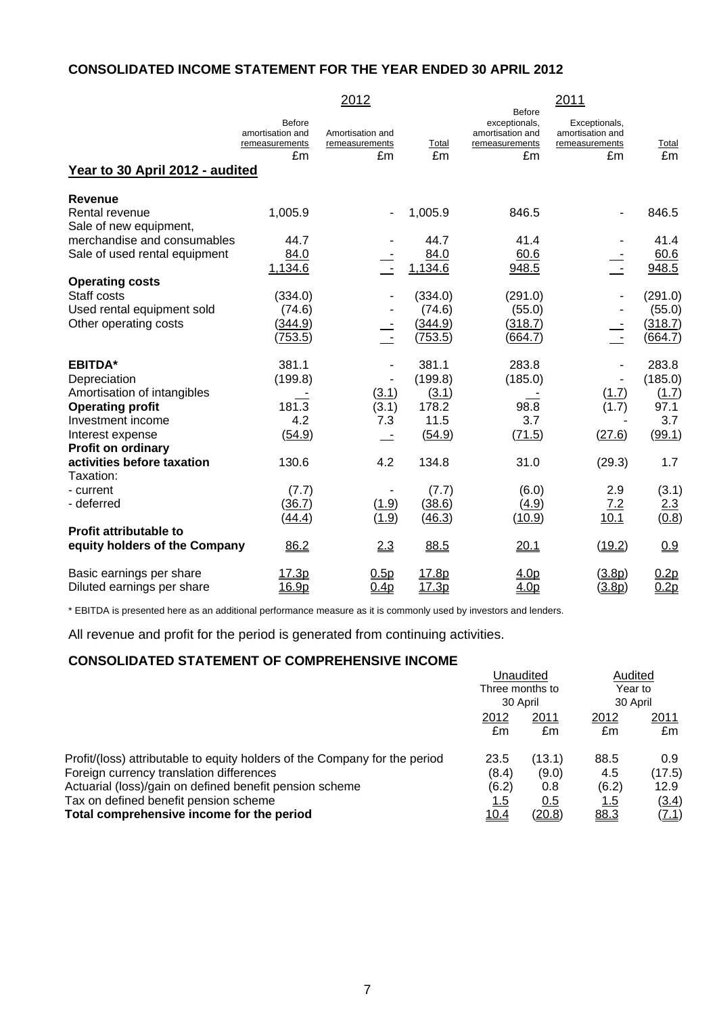## **CONSOLIDATED INCOME STATEMENT FOR THE YEAR ENDED 30 APRIL 2012**

|                                          |                                                           | 2012                                     |             |                                                                            | 2011                                                      |             |
|------------------------------------------|-----------------------------------------------------------|------------------------------------------|-------------|----------------------------------------------------------------------------|-----------------------------------------------------------|-------------|
| Year to 30 April 2012 - audited          | <b>Before</b><br>amortisation and<br>remeasurements<br>£m | Amortisation and<br>remeasurements<br>£m | Total<br>£m | <b>Before</b><br>exceptionals,<br>amortisation and<br>remeasurements<br>£m | Exceptionals,<br>amortisation and<br>remeasurements<br>£m | Total<br>Em |
| <b>Revenue</b>                           |                                                           |                                          |             |                                                                            |                                                           |             |
| Rental revenue<br>Sale of new equipment, | 1,005.9                                                   |                                          | 1,005.9     | 846.5                                                                      |                                                           | 846.5       |
| merchandise and consumables              | 44.7                                                      |                                          | 44.7        | 41.4                                                                       |                                                           | 41.4        |
| Sale of used rental equipment            | 84.0                                                      |                                          | 84.0        | 60.6                                                                       |                                                           | 60.6        |
|                                          | 1,134.6                                                   | $\sim$                                   | 1,134.6     | 948.5                                                                      |                                                           | 948.5       |
| <b>Operating costs</b>                   |                                                           |                                          |             |                                                                            |                                                           |             |
| Staff costs                              | (334.0)                                                   |                                          | (334.0)     | (291.0)                                                                    |                                                           | (291.0)     |
| Used rental equipment sold               | (74.6)                                                    |                                          | (74.6)      | (55.0)                                                                     |                                                           | (55.0)      |
| Other operating costs                    | (344.9)                                                   |                                          | (344.9)     | (318.7)                                                                    |                                                           | (318.7)     |
|                                          | (753.5)                                                   | $\sim$                                   | (753.5)     | (664.7)                                                                    | $\sim$                                                    | (664.7)     |
| <b>EBITDA*</b>                           | 381.1                                                     |                                          | 381.1       | 283.8                                                                      |                                                           | 283.8       |
| Depreciation                             | (199.8)                                                   |                                          | (199.8)     | (185.0)                                                                    |                                                           | (185.0)     |
| Amortisation of intangibles              |                                                           | (3.1)                                    | (3.1)       |                                                                            | (1.7)                                                     | (1.7)       |
| <b>Operating profit</b>                  | 181.3                                                     | (3.1)                                    | 178.2       | 98.8                                                                       | (1.7)                                                     | 97.1        |
| Investment income                        | 4.2                                                       | 7.3                                      | 11.5        | 3.7                                                                        |                                                           | 3.7         |
| Interest expense                         | (54.9)                                                    |                                          | (54.9)      | (71.5)                                                                     | (27.6)                                                    | (99.1)      |
| Profit on ordinary                       |                                                           |                                          |             |                                                                            |                                                           |             |
| activities before taxation               | 130.6                                                     | 4.2                                      | 134.8       | 31.0                                                                       | (29.3)                                                    | 1.7         |
| Taxation:                                |                                                           |                                          |             |                                                                            |                                                           |             |
| - current                                | (7.7)                                                     |                                          | (7.7)       | (6.0)                                                                      | 2.9                                                       | (3.1)       |
| - deferred                               | (36.7)                                                    | (1.9)                                    | (38.6)      | (4.9)                                                                      | 7.2                                                       | 2.3         |
|                                          | (44.4)                                                    | (1.9)                                    | (46.3)      | (10.9)                                                                     | 10.1                                                      | (0.8)       |
| <b>Profit attributable to</b>            |                                                           |                                          |             |                                                                            |                                                           |             |
| equity holders of the Company            | 86.2                                                      | 2.3                                      | 88.5        | 20.1                                                                       | (19.2)                                                    | 0.9         |
| Basic earnings per share                 | 17.3p                                                     | 0.5p                                     | 17.8p       | 4.0p                                                                       | (3.8p)                                                    | 0.2p        |
| Diluted earnings per share               | 16.9p                                                     | 0.4 <sub>p</sub>                         | 17.3p       | 4.0 <sub>p</sub>                                                           | (3.8p)                                                    | 0.2p        |

\* EBITDA is presented here as an additional performance measure as it is commonly used by investors and lenders.

All revenue and profit for the period is generated from continuing activities.

### **CONSOLIDATED STATEMENT OF COMPREHENSIVE INCOME**

|                                                                            | Unaudited<br>Three months to<br>30 April |               | Audited<br>Year to |        |
|----------------------------------------------------------------------------|------------------------------------------|---------------|--------------------|--------|
|                                                                            |                                          |               | 30 April           |        |
|                                                                            | 2012                                     | 2011          | 2012               | 2011   |
|                                                                            | £m                                       | £m            | £m                 | £m     |
| Profit/(loss) attributable to equity holders of the Company for the period | 23.5                                     | (13.1)        | 88.5               | 0.9    |
| Foreign currency translation differences                                   | (8.4)                                    | (9.0)         | 4.5                | (17.5) |
| Actuarial (loss)/gain on defined benefit pension scheme                    | (6.2)                                    | 0.8           | (6.2)              | 12.9   |
| Tax on defined benefit pension scheme                                      | <u> 1.5</u>                              | 0.5           | <u>1.5</u>         | (3.4)  |
| Total comprehensive income for the period                                  | <u>10.4</u>                              | <u>(20.8)</u> | 88.3               | (7.1)  |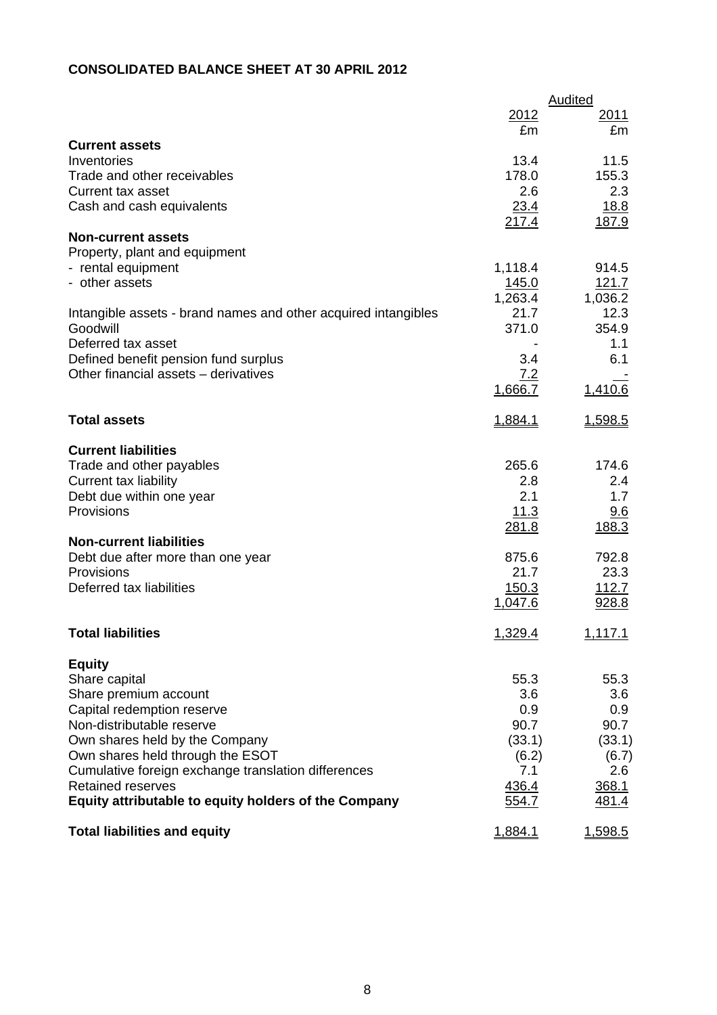# **CONSOLIDATED BALANCE SHEET AT 30 APRIL 2012**

|                                                                                         |              | <b>Audited</b> |
|-----------------------------------------------------------------------------------------|--------------|----------------|
|                                                                                         | 2012         | 2011           |
|                                                                                         | £m           | £m             |
| <b>Current assets</b>                                                                   |              |                |
| Inventories                                                                             | 13.4         | 11.5           |
| Trade and other receivables                                                             | 178.0        | 155.3          |
| <b>Current tax asset</b>                                                                | 2.6          | 2.3            |
| Cash and cash equivalents                                                               | 23.4         | <u>18.8</u>    |
|                                                                                         | 217.4        | 187.9          |
| <b>Non-current assets</b><br>Property, plant and equipment                              |              |                |
| - rental equipment                                                                      | 1,118.4      | 914.5          |
| - other assets                                                                          | <u>145.0</u> | <u>121.7</u>   |
|                                                                                         | 1,263.4      | 1,036.2        |
| Intangible assets - brand names and other acquired intangibles                          | 21.7         | 12.3           |
| Goodwill                                                                                | 371.0        | 354.9          |
| Deferred tax asset                                                                      |              | 1.1            |
| Defined benefit pension fund surplus                                                    | 3.4          | 6.1            |
| Other financial assets - derivatives                                                    | 7.2          |                |
|                                                                                         | 1,666.7      | 1,410.6        |
|                                                                                         |              |                |
| <b>Total assets</b>                                                                     | 1,884.1      | 1,598.5        |
| <b>Current liabilities</b>                                                              |              |                |
| Trade and other payables                                                                | 265.6        | 174.6          |
| <b>Current tax liability</b>                                                            | 2.8          | 2.4            |
| Debt due within one year                                                                | 2.1          | 1.7            |
| Provisions                                                                              | 11.3         | 9.6            |
|                                                                                         | 281.8        | 188.3          |
| <b>Non-current liabilities</b>                                                          |              |                |
| Debt due after more than one year                                                       | 875.6        | 792.8          |
| Provisions                                                                              | 21.7         | 23.3           |
| Deferred tax liabilities                                                                | 150.3        | 112.7          |
|                                                                                         | 1,047.6      | 928.8          |
| <b>Total liabilities</b>                                                                | 1,329.4      | 1,117.1        |
|                                                                                         |              |                |
| <b>Equity</b>                                                                           |              |                |
| Share capital                                                                           | 55.3         | 55.3           |
| Share premium account                                                                   | 3.6          | 3.6            |
| Capital redemption reserve                                                              | 0.9          | 0.9            |
| Non-distributable reserve                                                               | 90.7         | 90.7           |
| Own shares held by the Company                                                          | (33.1)       | (33.1)         |
| Own shares held through the ESOT<br>Cumulative foreign exchange translation differences | (6.2)        | (6.7)          |
| <b>Retained reserves</b>                                                                | 7.1<br>436.4 | 2.6            |
| Equity attributable to equity holders of the Company                                    | 554.7        | 368.1<br>481.4 |
|                                                                                         |              |                |
| <b>Total liabilities and equity</b>                                                     | 1,884.1      | 1,598.5        |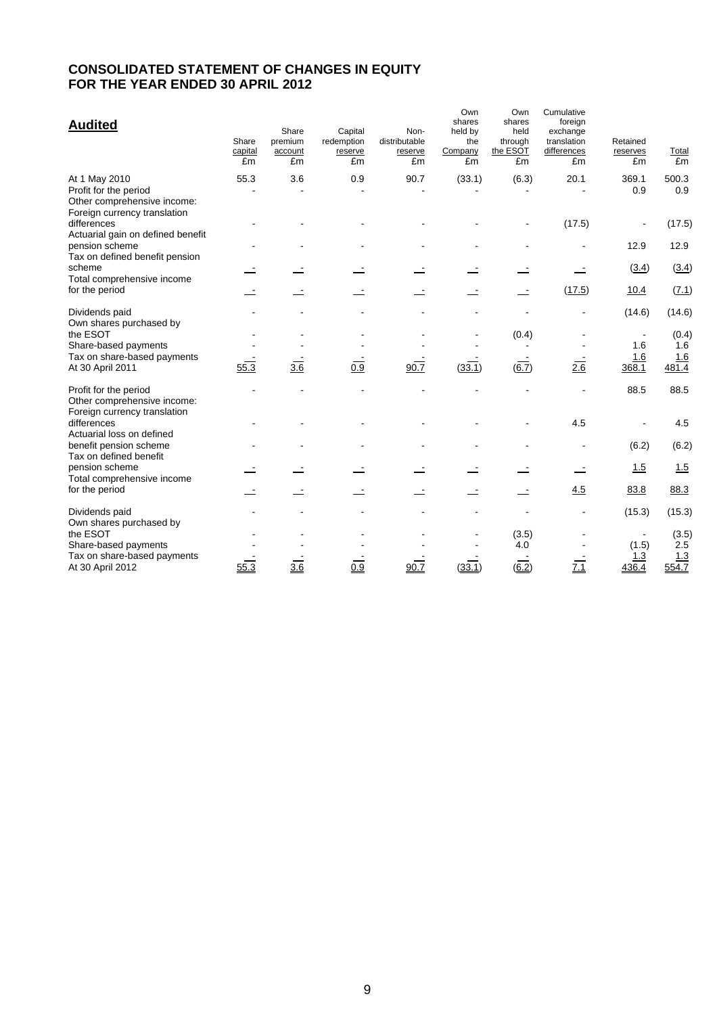## **CONSOLIDATED STATEMENT OF CHANGES IN EQUITY FOR THE YEAR ENDED 30 APRIL 2012**

| <b>Audited</b>                                                                                        | Share<br>capital<br>£m | Share<br>premium<br>account<br>£m | Capital<br>redemption<br>reserve<br>£m | Non-<br>distributable<br>reserve<br>£m | Own<br>shares<br>held by<br>the<br>Company<br>£m | Own<br>shares<br>held<br>through<br>the ESOT<br>£m | Cumulative<br>foreign<br>exchange<br>translation<br>differences<br>£m | Retained<br>reserves<br>£m | Total<br>£m  |
|-------------------------------------------------------------------------------------------------------|------------------------|-----------------------------------|----------------------------------------|----------------------------------------|--------------------------------------------------|----------------------------------------------------|-----------------------------------------------------------------------|----------------------------|--------------|
| At 1 May 2010<br>Profit for the period<br>Other comprehensive income:<br>Foreign currency translation | 55.3                   | 3.6                               | 0.9                                    | 90.7                                   | (33.1)                                           | (6.3)                                              | 20.1                                                                  | 369.1<br>0.9               | 500.3<br>0.9 |
| differences<br>Actuarial gain on defined benefit                                                      |                        |                                   |                                        |                                        |                                                  |                                                    | (17.5)                                                                |                            | (17.5)       |
| pension scheme<br>Tax on defined benefit pension                                                      |                        |                                   |                                        |                                        |                                                  |                                                    |                                                                       | 12.9                       | 12.9         |
| scheme<br>Total comprehensive income                                                                  |                        |                                   |                                        |                                        |                                                  |                                                    |                                                                       | (3.4)                      | (3.4)        |
| for the period                                                                                        |                        |                                   |                                        |                                        |                                                  |                                                    | (17.5)                                                                | 10.4                       | (7.1)        |
| Dividends paid<br>Own shares purchased by                                                             |                        |                                   |                                        |                                        |                                                  |                                                    |                                                                       | (14.6)                     | (14.6)       |
| the ESOT                                                                                              |                        |                                   |                                        |                                        |                                                  | (0.4)                                              |                                                                       | $\blacksquare$<br>1.6      | (0.4)<br>1.6 |
| Share-based payments<br>Tax on share-based payments                                                   |                        |                                   |                                        |                                        |                                                  |                                                    |                                                                       | 1.6                        | 1.6          |
| At 30 April 2011                                                                                      | 55.3                   | $\overline{3.6}$                  | $\overline{0.9}$                       | 90.7                                   | (33.1)                                           | $(\overline{6.7})$                                 | 2.6                                                                   | 368.1                      | 481.4        |
| Profit for the period<br>Other comprehensive income:<br>Foreign currency translation                  |                        |                                   |                                        |                                        |                                                  |                                                    |                                                                       | 88.5                       | 88.5         |
| differences<br>Actuarial loss on defined                                                              |                        |                                   |                                        |                                        |                                                  |                                                    | 4.5                                                                   |                            | 4.5          |
| benefit pension scheme<br>Tax on defined benefit                                                      |                        |                                   |                                        |                                        |                                                  |                                                    |                                                                       | (6.2)                      | (6.2)        |
| pension scheme<br>Total comprehensive income                                                          |                        |                                   |                                        |                                        |                                                  |                                                    |                                                                       | 1.5                        | 1.5          |
| for the period                                                                                        |                        |                                   |                                        |                                        |                                                  |                                                    | 4.5                                                                   | 83.8                       | 88.3         |
| Dividends paid<br>Own shares purchased by                                                             |                        |                                   |                                        |                                        |                                                  |                                                    |                                                                       | (15.3)                     | (15.3)       |
| the ESOT                                                                                              |                        |                                   |                                        |                                        |                                                  | (3.5)                                              |                                                                       |                            | (3.5)        |
| Share-based payments<br>Tax on share-based payments                                                   |                        |                                   |                                        |                                        |                                                  | 4.0                                                |                                                                       | (1.5)<br>1.3               | 2.5          |
| At 30 April 2012                                                                                      | 55.3                   | 3.6                               | 0.9                                    | 90.7                                   | (33.1)                                           | (6.2)                                              | 7.1                                                                   | 436.4                      | 1.3<br>554.7 |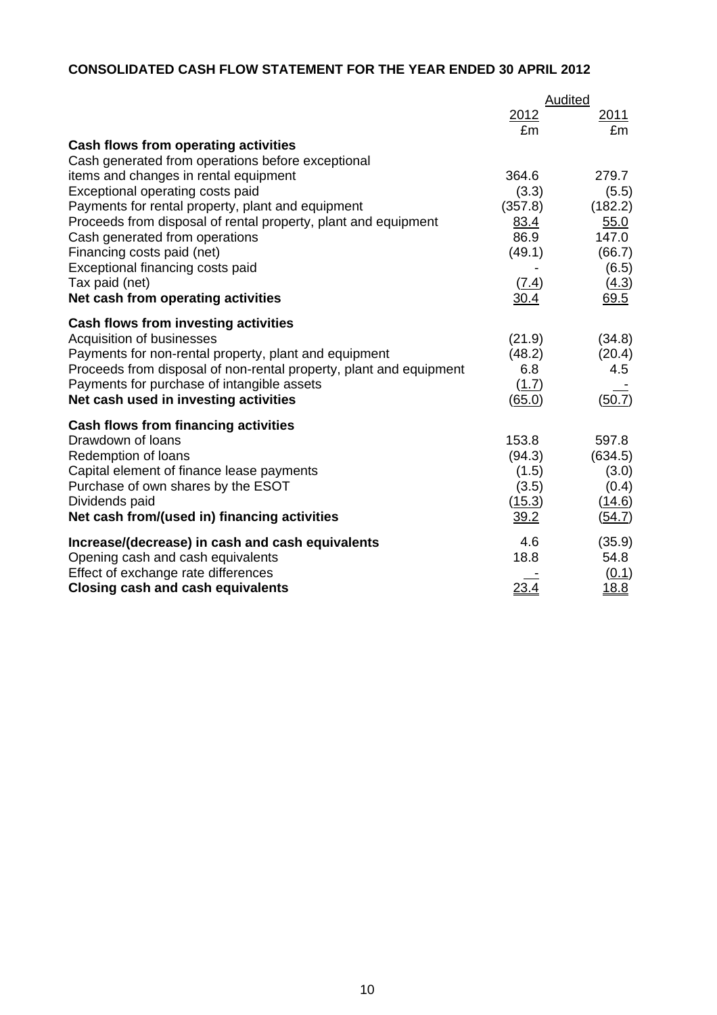# **CONSOLIDATED CASH FLOW STATEMENT FOR THE YEAR ENDED 30 APRIL 2012**

|                                                                    | Audited      |                 |  |
|--------------------------------------------------------------------|--------------|-----------------|--|
|                                                                    | 2012         | <u>2011</u>     |  |
|                                                                    | £m           | £m              |  |
| Cash flows from operating activities                               |              |                 |  |
| Cash generated from operations before exceptional                  |              |                 |  |
| items and changes in rental equipment                              | 364.6        | 279.7           |  |
| Exceptional operating costs paid                                   | (3.3)        | (5.5)           |  |
| Payments for rental property, plant and equipment                  | (357.8)      | (182.2)         |  |
| Proceeds from disposal of rental property, plant and equipment     | 83.4<br>86.9 | 55.0            |  |
| Cash generated from operations<br>Financing costs paid (net)       | (49.1)       | 147.0<br>(66.7) |  |
| Exceptional financing costs paid                                   |              | (6.5)           |  |
| Tax paid (net)                                                     | (7.4)        | (4.3)           |  |
| Net cash from operating activities                                 | 30.4         | 69.5            |  |
|                                                                    |              |                 |  |
| Cash flows from investing activities                               |              |                 |  |
| Acquisition of businesses                                          | (21.9)       | (34.8)          |  |
| Payments for non-rental property, plant and equipment              | (48.2)       | (20.4)          |  |
| Proceeds from disposal of non-rental property, plant and equipment | 6.8          | 4.5             |  |
| Payments for purchase of intangible assets                         | (1.7)        |                 |  |
| Net cash used in investing activities                              | (65.0)       | (50.7)          |  |
| <b>Cash flows from financing activities</b>                        |              |                 |  |
| Drawdown of loans                                                  | 153.8        | 597.8           |  |
| Redemption of loans                                                | (94.3)       | (634.5)         |  |
| Capital element of finance lease payments                          | (1.5)        | (3.0)           |  |
| Purchase of own shares by the ESOT                                 | (3.5)        | (0.4)           |  |
| Dividends paid                                                     | (15.3)       | (14.6)          |  |
| Net cash from/(used in) financing activities                       | 39.2         | (54.7)          |  |
| Increase/(decrease) in cash and cash equivalents                   | 4.6          | (35.9)          |  |
| Opening cash and cash equivalents                                  | 18.8         | 54.8            |  |
| Effect of exchange rate differences                                |              | (0.1)           |  |
| <b>Closing cash and cash equivalents</b>                           | 23.4         | <u>18.8</u>     |  |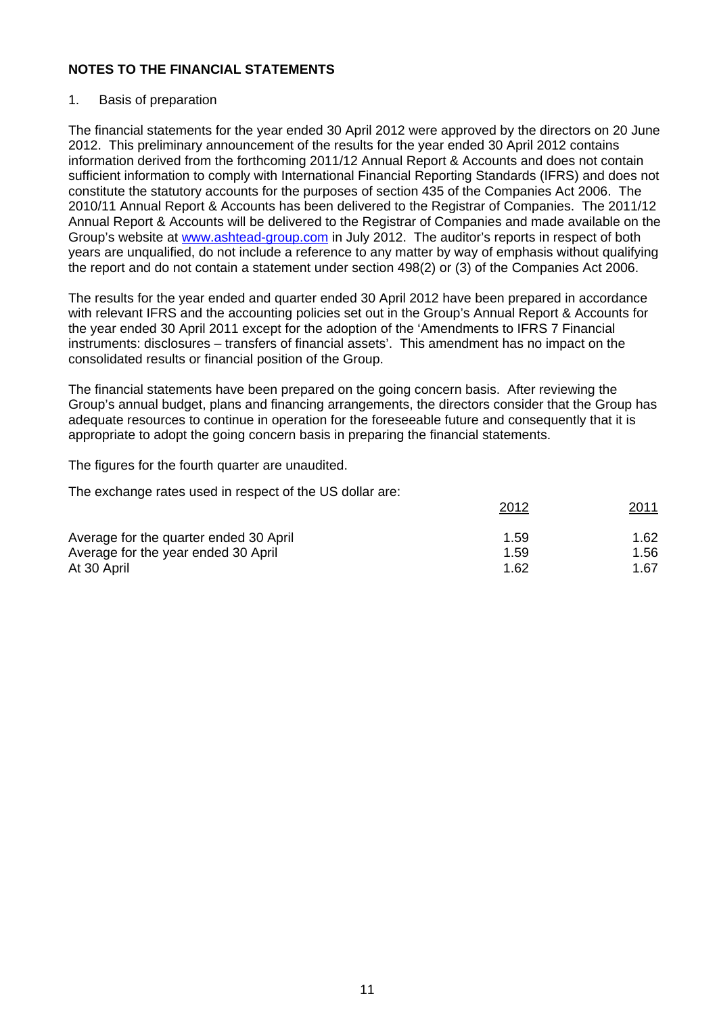### 1. Basis of preparation

The financial statements for the year ended 30 April 2012 were approved by the directors on 20 June 2012. This preliminary announcement of the results for the year ended 30 April 2012 contains information derived from the forthcoming 2011/12 Annual Report & Accounts and does not contain sufficient information to comply with International Financial Reporting Standards (IFRS) and does not constitute the statutory accounts for the purposes of section 435 of the Companies Act 2006. The 2010/11 Annual Report & Accounts has been delivered to the Registrar of Companies. The 2011/12 Annual Report & Accounts will be delivered to the Registrar of Companies and made available on the Group's website at www.ashtead-group.com in July 2012. The auditor's reports in respect of both years are unqualified, do not include a reference to any matter by way of emphasis without qualifying the report and do not contain a statement under section 498(2) or (3) of the Companies Act 2006.

The results for the year ended and quarter ended 30 April 2012 have been prepared in accordance with relevant IFRS and the accounting policies set out in the Group's Annual Report & Accounts for the year ended 30 April 2011 except for the adoption of the 'Amendments to IFRS 7 Financial instruments: disclosures – transfers of financial assets'. This amendment has no impact on the consolidated results or financial position of the Group.

The financial statements have been prepared on the going concern basis. After reviewing the Group's annual budget, plans and financing arrangements, the directors consider that the Group has adequate resources to continue in operation for the foreseeable future and consequently that it is appropriate to adopt the going concern basis in preparing the financial statements.

The figures for the fourth quarter are unaudited.

The exchange rates used in respect of the US dollar are:

|                                        | 2012 | 2011 |
|----------------------------------------|------|------|
| Average for the quarter ended 30 April | 1.59 | 1.62 |
| Average for the year ended 30 April    | 1.59 | 1.56 |
| At 30 April                            | 1.62 | 1.67 |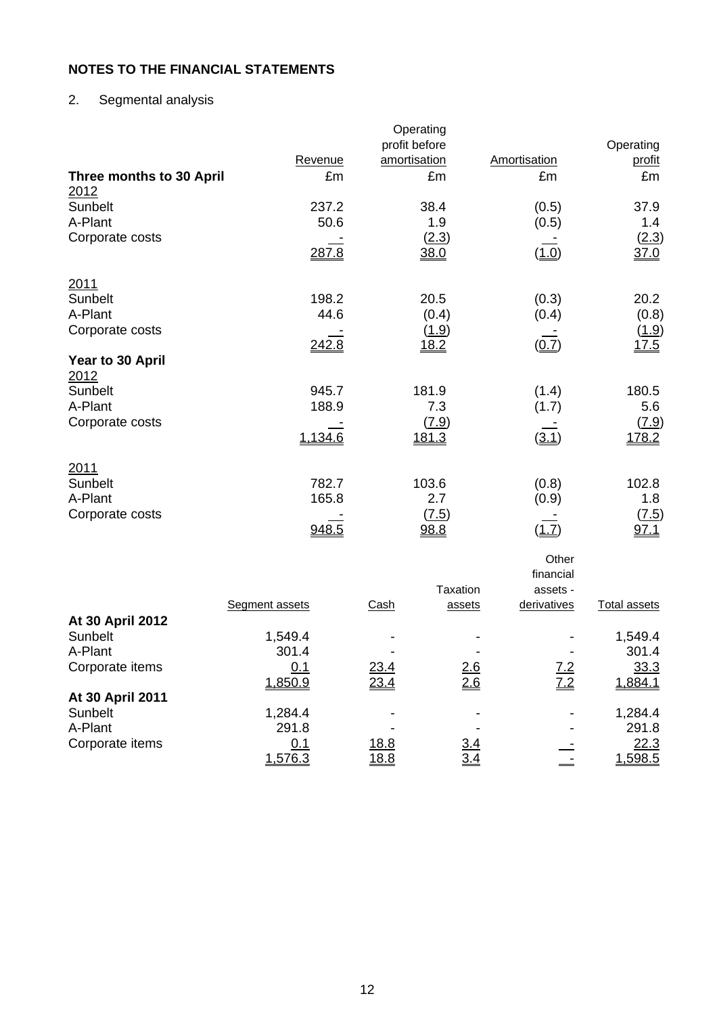# 2. Segmental analysis

| Three months to 30 April                                                                                           | Revenue<br>£m                                       | Operating<br>profit before<br>amortisation<br>£m                 | Amortisation<br>£m                                               | Operating<br>profit<br>£m                                                      |
|--------------------------------------------------------------------------------------------------------------------|-----------------------------------------------------|------------------------------------------------------------------|------------------------------------------------------------------|--------------------------------------------------------------------------------|
| 2012<br>Sunbelt<br>A-Plant<br>Corporate costs                                                                      | 237.2<br>50.6<br>287.8                              | 38.4<br>1.9<br>(2.3)<br>38.0                                     | (0.5)<br>(0.5)<br>(1.0)                                          | 37.9<br>1.4<br>(2.3)<br>37.0                                                   |
| 2011<br>Sunbelt<br>A-Plant<br>Corporate costs<br>Year to 30 April<br>2012<br>Sunbelt<br>A-Plant<br>Corporate costs | 198.2<br>44.6<br>242.8<br>945.7<br>188.9<br>1,134.6 | 20.5<br>(0.4)<br>(1.9)<br>18.2<br>181.9<br>7.3<br>(7.9)<br>181.3 | (0.3)<br>(0.4)<br>$\underline{(0.7)}$<br>(1.4)<br>(1.7)<br>(3.1) | 20.2<br>(0.8)<br><u>(1.9)</u><br>17.5<br>180.5<br>5.6<br><u>(7.9)</u><br>178.2 |
| 2011<br>Sunbelt<br>A-Plant<br>Corporate costs                                                                      | 782.7<br>165.8<br>948.5                             | 103.6<br>2.7<br>(7.5)<br>98.8                                    | (0.8)<br>(0.9)<br>(1.7)<br>Other<br>financial                    | 102.8<br>1.8<br><u>(7.5)</u><br>97.1                                           |

|                  | Segment assets | Cash         | Taxation<br>assets | assets -<br>derivatives | Total assets |
|------------------|----------------|--------------|--------------------|-------------------------|--------------|
| At 30 April 2012 |                |              |                    |                         |              |
| Sunbelt          | 1,549.4        |              |                    |                         | 1,549.4      |
| A-Plant          | 301.4          |              |                    |                         | 301.4        |
| Corporate items  | 0.1            | 23.4         | 2.6                | <u>7.2</u>              | 33.3         |
|                  | 1,850.9        | 23.4         | 2.6                | <u>7.2</u>              | 1,884.1      |
| At 30 April 2011 |                |              |                    |                         |              |
| Sunbelt          | 1,284.4        |              | ٠                  |                         | 1,284.4      |
| A-Plant          | 291.8          |              |                    |                         | 291.8        |
| Corporate items  | 0.1            | <u>18.8</u>  | 3.4                |                         | 22.3         |
|                  | 1,576.3        | <u> 18.8</u> | 3.4                |                         | 1,598.5      |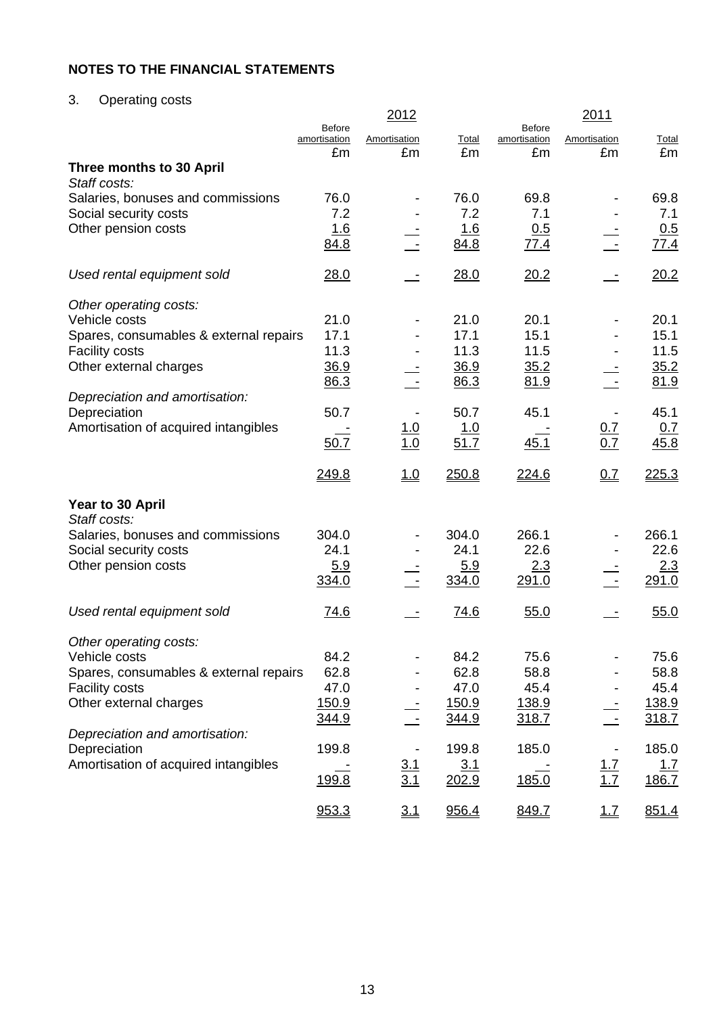# 3. Operating costs

|                                                            |                               | 2012              |               |                               | 2011              |               |
|------------------------------------------------------------|-------------------------------|-------------------|---------------|-------------------------------|-------------------|---------------|
|                                                            | <b>Before</b><br>amortisation | Amortisation      | Total         | <b>Before</b><br>amortisation | Amortisation      | <b>Total</b>  |
|                                                            | £m                            | £m                | £m            | £m                            | £m                | £m            |
| Three months to 30 April                                   |                               |                   |               |                               |                   |               |
| Staff costs:<br>Salaries, bonuses and commissions          | 76.0                          |                   | 76.0          | 69.8                          |                   | 69.8          |
| Social security costs                                      | 7.2                           |                   | 7.2           | 7.1                           |                   | 7.1           |
| Other pension costs                                        | <u>1.6</u>                    |                   | 1.6           | 0.5                           |                   | 0.5           |
|                                                            | 84.8                          |                   | 84.8          | 77.4                          |                   | 77.4          |
| Used rental equipment sold                                 | 28.0                          |                   | 28.0          | 20.2                          |                   | 20.2          |
| Other operating costs:                                     |                               |                   |               |                               |                   |               |
| Vehicle costs                                              | 21.0                          |                   | 21.0          | 20.1                          |                   | 20.1          |
| Spares, consumables & external repairs                     | 17.1                          |                   | 17.1          | 15.1                          |                   | 15.1          |
| <b>Facility costs</b><br>Other external charges            | 11.3<br>36.9                  |                   | 11.3<br>36.9  | 11.5                          |                   | 11.5          |
|                                                            | 86.3                          |                   | 86.3          | 35.2<br>81.9                  |                   | 35.2<br>81.9  |
| Depreciation and amortisation:                             |                               |                   |               |                               |                   |               |
| Depreciation                                               | 50.7                          |                   | 50.7          | 45.1                          |                   | 45.1          |
| Amortisation of acquired intangibles                       |                               | $\frac{1.0}{1.0}$ | <u>1.0</u>    |                               | $\frac{0.7}{0.7}$ | <u>0.7</u>    |
|                                                            | 50.7                          |                   | 51.7          | 45.1                          |                   | 45.8          |
|                                                            | 249.8                         | 1.0               | 250.8         | 224.6                         | 0.7               | 225.3         |
| Year to 30 April                                           |                               |                   |               |                               |                   |               |
| Staff costs:                                               |                               |                   |               |                               |                   |               |
| Salaries, bonuses and commissions<br>Social security costs | 304.0<br>24.1                 |                   | 304.0<br>24.1 | 266.1<br>22.6                 |                   | 266.1<br>22.6 |
| Other pension costs                                        | 5.9                           |                   | 5.9           | 2.3                           |                   | 2.3           |
|                                                            | 334.0                         |                   | 334.0         | 291.0                         |                   | 291.0         |
| Used rental equipment sold                                 | 74.6                          |                   | 74.6          | 55.0                          |                   | 55.0          |
|                                                            |                               |                   |               |                               |                   |               |
| Other operating costs:                                     |                               |                   |               | 75.6                          |                   |               |
| Vehicle costs<br>Spares, consumables & external repairs    | 84.2<br>62.8                  |                   | 84.2<br>62.8  | 58.8                          |                   | 75.6<br>58.8  |
| <b>Facility costs</b>                                      | 47.0                          |                   | 47.0          | 45.4                          |                   | 45.4          |
| Other external charges                                     | <u>150.9</u>                  |                   | 150.9         | 138.9                         |                   | 138.9         |
|                                                            | 344.9                         |                   | <u>344.9</u>  | 318.7                         |                   | 318.7         |
| Depreciation and amortisation:                             |                               |                   |               |                               |                   |               |
| Depreciation                                               | 199.8                         |                   | 199.8         | 185.0                         |                   | 185.0         |
| Amortisation of acquired intangibles                       |                               | $\frac{3.1}{3.1}$ | 3.1           |                               | $\frac{1.7}{1.7}$ | <u>1.7</u>    |
|                                                            | 199.8                         |                   | 202.9         | 185.0                         |                   | 186.7         |
|                                                            | 953.3                         | 3.1               | 956.4         | 849.7                         | 1.7               | 851.4         |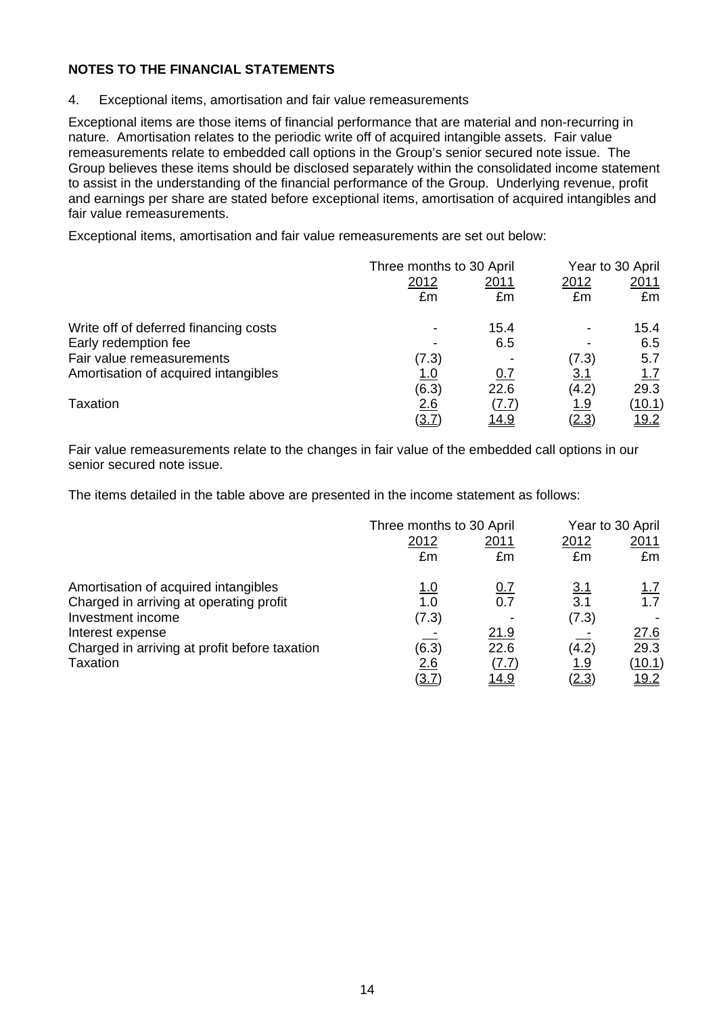4. Exceptional items, amortisation and fair value remeasurements

Exceptional items are those items of financial performance that are material and non-recurring in nature. Amortisation relates to the periodic write off of acquired intangible assets. Fair value remeasurements relate to embedded call options in the Group's senior secured note issue. The Group believes these items should be disclosed separately within the consolidated income statement to assist in the understanding of the financial performance of the Group. Underlying revenue, profit and earnings per share are stated before exceptional items, amortisation of acquired intangibles and fair value remeasurements.

Exceptional items, amortisation and fair value remeasurements are set out below:

|                                       | Three months to 30 April |              | Year to 30 April |               |  |
|---------------------------------------|--------------------------|--------------|------------------|---------------|--|
|                                       | 2012                     | <u>2011</u>  |                  | 2011          |  |
|                                       | £m                       | £m           | £m               | £m            |  |
| Write off of deferred financing costs |                          | 15.4         |                  | 15.4          |  |
| Early redemption fee                  |                          | 6.5          |                  | 6.5           |  |
| Fair value remeasurements             | (7.3)                    |              | (7.3)            | 5.7           |  |
| Amortisation of acquired intangibles  | 1.0                      | <u>0.7</u>   | <u>3.1</u>       | <u>1.7</u>    |  |
|                                       | (6.3)                    | 22.6         | (4.2)            | 29.3          |  |
| Taxation                              | 2.6                      | (7.7)        | <u>1.9</u>       | <u>(10.1)</u> |  |
|                                       | <u>3.7</u>               | <u> 14.9</u> | <u>(2.3)</u>     | <u> 19.2</u>  |  |

Fair value remeasurements relate to the changes in fair value of the embedded call options in our senior secured note issue.

The items detailed in the table above are presented in the income statement as follows:

|                                               | Three months to 30 April |                                | Year to 30 April |               |  |
|-----------------------------------------------|--------------------------|--------------------------------|------------------|---------------|--|
|                                               | 2012                     | <u> 2011</u>                   | 2012             | 2011          |  |
|                                               | £m                       | £m                             | £m               | £m            |  |
| Amortisation of acquired intangibles          | <u>1.0</u>               | 0.7                            | <u>3.1</u>       | <u>1.7</u>    |  |
| Charged in arriving at operating profit       | 1.0                      | 0.7                            | 3.1              | 1.7           |  |
| Investment income                             | (7.3)                    |                                | (7.3)            |               |  |
| Interest expense                              |                          | 21.9                           |                  | 27.6          |  |
| Charged in arriving at profit before taxation | (6.3)                    | 22.6                           | (4.2)            | 29.3          |  |
| Taxation                                      | 2.6                      | $(\underline{7}.\overline{7})$ | <u> 1.9</u>      | <u>(10.1)</u> |  |
|                                               | <u>(3.7</u>              | <u> 14.9</u>                   | (2.3)            | <u> 19.2</u>  |  |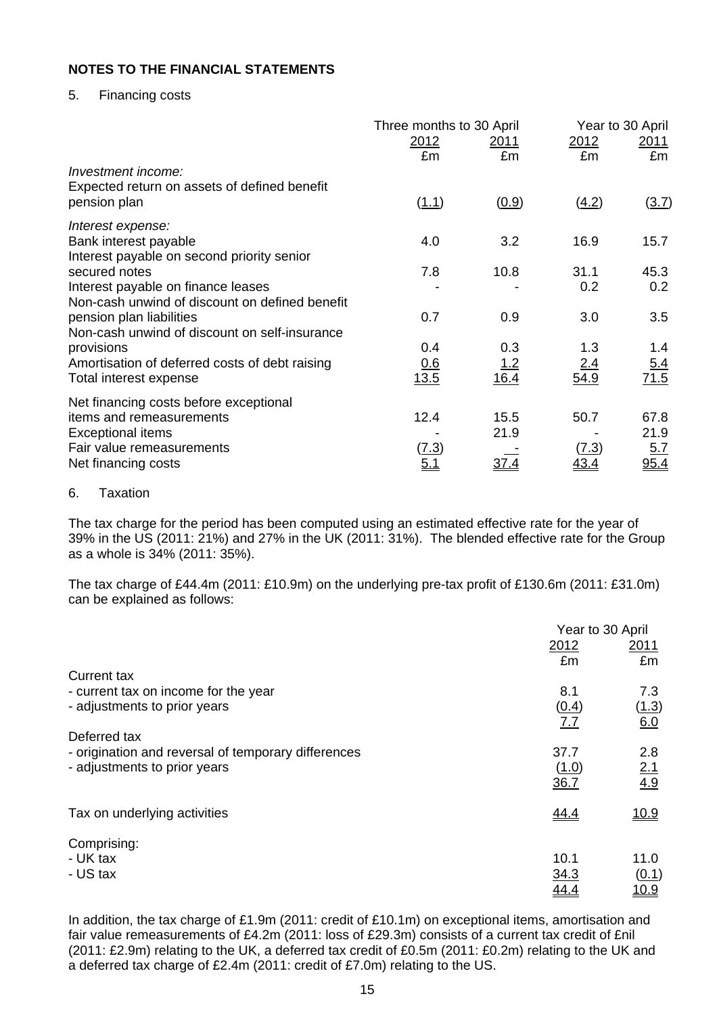## 5. Financing costs

|                                                       | Three months to 30 April   |                    |                      | Year to 30 April   |
|-------------------------------------------------------|----------------------------|--------------------|----------------------|--------------------|
|                                                       | <u>2012</u><br>£m          | 2011<br>£m         | 2012<br>£m           | 2011<br>£m         |
| Investment income:                                    |                            |                    |                      |                    |
| Expected return on assets of defined benefit          |                            |                    |                      |                    |
| pension plan                                          | (1.1)                      | (0.9)              | (4.2)                | (3.7)              |
| Interest expense:                                     |                            |                    |                      |                    |
| Bank interest payable                                 | 4.0                        | 3.2                | 16.9                 | 15.7               |
| Interest payable on second priority senior            | 7.8                        |                    |                      |                    |
| secured notes<br>Interest payable on finance leases   |                            | 10.8               | 31.1<br>0.2          | 45.3<br>0.2        |
| Non-cash unwind of discount on defined benefit        |                            |                    |                      |                    |
| pension plan liabilities                              | 0.7                        | 0.9                | 3.0                  | 3.5                |
| Non-cash unwind of discount on self-insurance         |                            |                    |                      |                    |
| provisions                                            | 0.4                        | 0.3                | 1.3                  | 1.4                |
| Amortisation of deferred costs of debt raising        | 0.6                        | $\frac{1.2}{16.4}$ | 2.4                  | 5.4                |
| Total interest expense                                | 13.5                       |                    | 54.9                 | 71.5               |
| Net financing costs before exceptional                |                            |                    |                      |                    |
| items and remeasurements                              | 12.4                       | 15.5               | 50.7                 | 67.8               |
| <b>Exceptional items</b><br>Fair value remeasurements |                            | 21.9               |                      | 21.9               |
| Net financing costs                                   | <u>(7.3)</u><br><u>5.1</u> | <u>37.4</u>        | (7.3)<br><u>43.4</u> | <u>5.7</u><br>95.4 |
|                                                       |                            |                    |                      |                    |

### 6. Taxation

The tax charge for the period has been computed using an estimated effective rate for the year of 39% in the US (2011: 21%) and 27% in the UK (2011: 31%). The blended effective rate for the Group as a whole is 34% (2011: 35%).

The tax charge of £44.4m (2011: £10.9m) on the underlying pre-tax profit of £130.6m (2011: £31.0m) can be explained as follows:

|                                                     | Year to 30 April |                   |
|-----------------------------------------------------|------------------|-------------------|
|                                                     | 2012             | 2011              |
|                                                     | £m               | £m                |
| Current tax                                         |                  |                   |
| - current tax on income for the year                | 8.1              | 7.3               |
| - adjustments to prior years                        | (0.4)            | (1.3)             |
|                                                     | 7.7              | 6.0               |
| Deferred tax                                        |                  |                   |
| - origination and reversal of temporary differences | 37.7             | 2.8               |
| - adjustments to prior years                        | (1.0)            | $\frac{2.1}{4.9}$ |
|                                                     | 36.7             |                   |
| Tax on underlying activities                        | 44.4             | <u>10.9</u>       |
|                                                     |                  |                   |
| Comprising:                                         |                  |                   |
| - UK tax                                            | 10.1             | 11.0              |
| - US tax                                            | 34.3             | (0.1)             |
|                                                     | <u>44.4</u>      | <u> 10.9</u>      |

In addition, the tax charge of £1.9m (2011: credit of £10.1m) on exceptional items, amortisation and fair value remeasurements of £4.2m (2011: loss of £29.3m) consists of a current tax credit of £nil (2011: £2.9m) relating to the UK, a deferred tax credit of £0.5m (2011: £0.2m) relating to the UK and a deferred tax charge of £2.4m (2011: credit of £7.0m) relating to the US.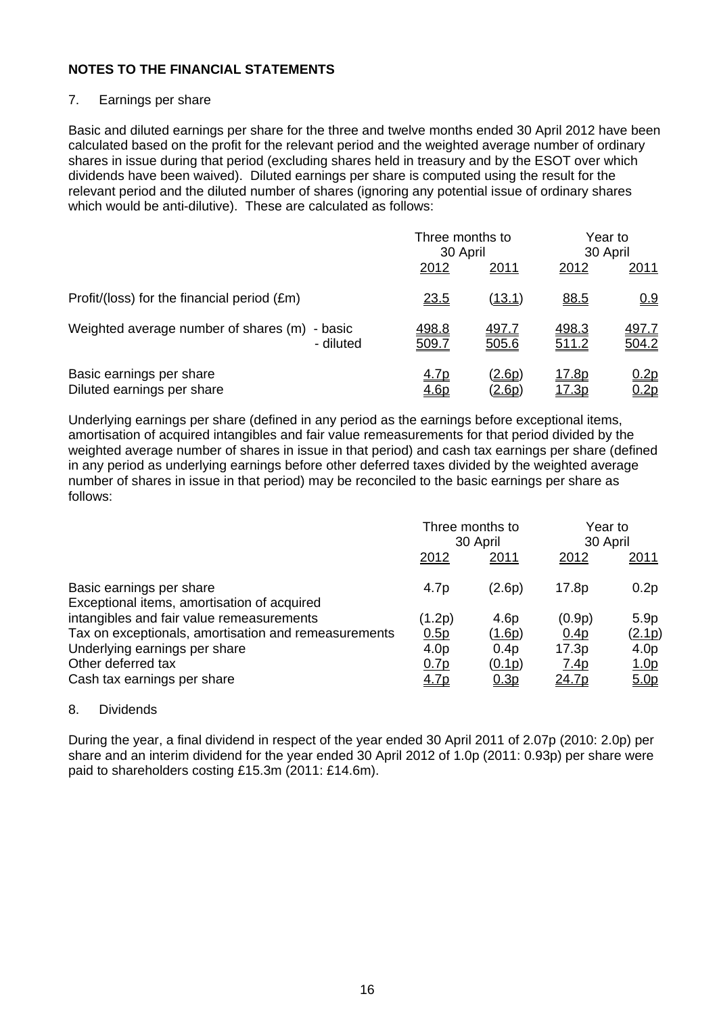## 7. Earnings per share

Basic and diluted earnings per share for the three and twelve months ended 30 April 2012 have been calculated based on the profit for the relevant period and the weighted average number of ordinary shares in issue during that period (excluding shares held in treasury and by the ESOT over which dividends have been waived). Diluted earnings per share is computed using the result for the relevant period and the diluted number of shares (ignoring any potential issue of ordinary shares which would be anti-dilutive). These are calculated as follows:

|                                                            | Three months to<br>30 April |                                | Year to<br>30 April    |                            |
|------------------------------------------------------------|-----------------------------|--------------------------------|------------------------|----------------------------|
|                                                            | 2012                        | 2011                           | 2012                   | 2011                       |
| Profit/(loss) for the financial period (£m)                | <u>23.5</u>                 | <u>(13.1)</u>                  | 88.5                   | 0.9                        |
| Weighted average number of shares (m) - basic<br>- diluted | 498.8<br>509.7              | <u>497.7</u><br>505.6          | 498.3<br>511.2         | <u>497.7</u><br>504.2      |
| Basic earnings per share<br>Diluted earnings per share     | <u>4.7p</u><br><u>4.6p</u>  | <u>(2.6p)</u><br><u>(2.6p)</u> | <u> 17.8p</u><br>17.3p | <u>0.2p</u><br><u>).2p</u> |

Underlying earnings per share (defined in any period as the earnings before exceptional items, amortisation of acquired intangibles and fair value remeasurements for that period divided by the weighted average number of shares in issue in that period) and cash tax earnings per share (defined in any period as underlying earnings before other deferred taxes divided by the weighted average number of shares in issue in that period) may be reconciled to the basic earnings per share as follows:

|                                                                         | Three months to<br>30 April |                  | Year to<br>30 April |                  |
|-------------------------------------------------------------------------|-----------------------------|------------------|---------------------|------------------|
|                                                                         | 2012                        | 2011             | 2012                | <u>2011</u>      |
| Basic earnings per share<br>Exceptional items, amortisation of acquired | 4.7p                        | (2.6p)           | 17.8p               | 0.2p             |
| intangibles and fair value remeasurements                               | (1.2p)                      | 4.6 <sub>p</sub> | (0.9p)              | 5.9p             |
| Tax on exceptionals, amortisation and remeasurements                    | 0.5p                        | (1.6p)           | 0.4 <sub>D</sub>    | (2.1p)           |
| Underlying earnings per share                                           | 4.0 <sub>p</sub>            | 0.4p             | 17.3p               | 4.0 <sub>p</sub> |
| Other deferred tax                                                      | 0.7p                        | (0.1p)           | <u>7.4p</u>         | <u>1.0p</u>      |
| Cash tax earnings per share                                             | <u>4.7p</u>                 | 0.3p             | 24.7p               | 5.0 <sub>p</sub> |

## 8. Dividends

During the year, a final dividend in respect of the year ended 30 April 2011 of 2.07p (2010: 2.0p) per share and an interim dividend for the year ended 30 April 2012 of 1.0p (2011: 0.93p) per share were paid to shareholders costing £15.3m (2011: £14.6m).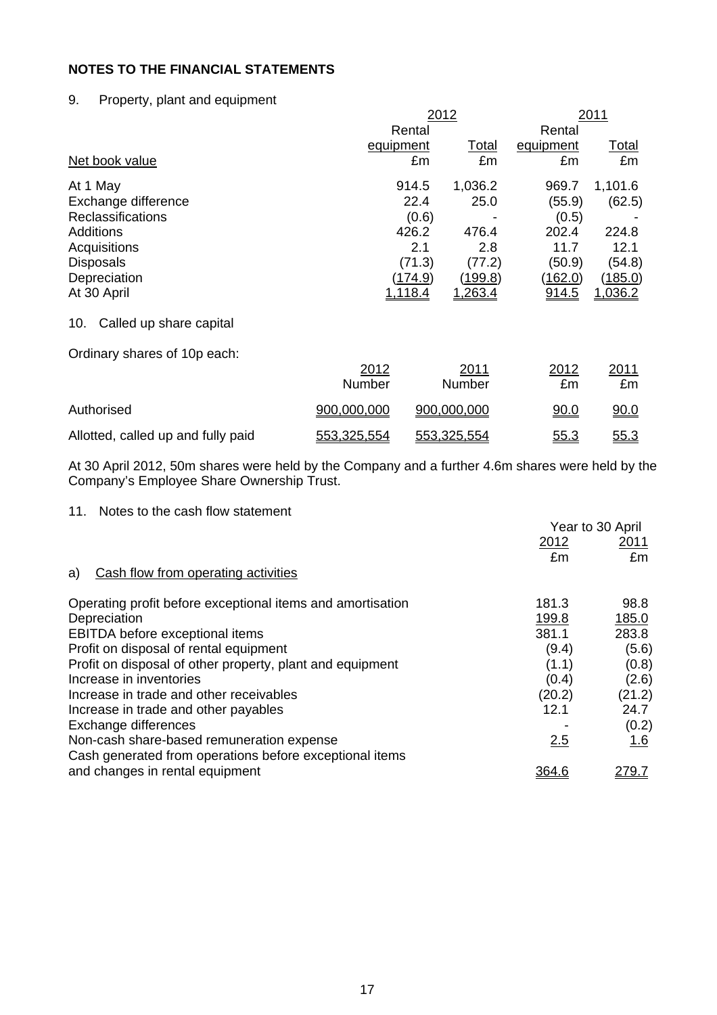## 9. Property, plant and equipment

|                                |             | 2012    |             |                | 2011         |  |  |
|--------------------------------|-------------|---------|-------------|----------------|--------------|--|--|
|                                |             | Rental  |             | Rental         |              |  |  |
|                                | equipment   |         | Total       | equipment      | <b>Total</b> |  |  |
| Net book value                 |             | £m      | £m          | £m             | £m           |  |  |
| At 1 May                       |             | 914.5   | 1,036.2     | 969.7          | 1,101.6      |  |  |
| Exchange difference            |             | 22.4    | 25.0        | (55.9)         | (62.5)       |  |  |
| <b>Reclassifications</b>       |             | (0.6)   | -           | (0.5)          |              |  |  |
| <b>Additions</b>               |             | 426.2   | 476.4       | 202.4          | 224.8        |  |  |
| Acquisitions                   |             | 2.1     | 2.8         | 11.7           | 12.1         |  |  |
| <b>Disposals</b>               |             | (71.3)  | (77.2)      | (50.9)         | (54.8)       |  |  |
| Depreciation                   |             | (174.9) | (199.8)     | <u>(162.0)</u> | (185.0)      |  |  |
| At 30 April                    |             | 1,118.4 | 1,263.4     | <u>914.5</u>   | 1,036.2      |  |  |
| Called up share capital<br>10. |             |         |             |                |              |  |  |
| Ordinary shares of 10p each:   |             |         |             |                |              |  |  |
|                                | 2012        |         | 2011        | 2012           | 2011         |  |  |
|                                | Number      |         | Number      | £m             | £m           |  |  |
| Authorised                     | 900,000,000 |         | 900,000,000 | 90.0           | 90.0         |  |  |

At 30 April 2012, 50m shares were held by the Company and a further 4.6m shares were held by the Company's Employee Share Ownership Trust.

Allotted, called up and fully paid  $553,325,554$   $553,325,554$   $55.3$   $55.3$ 

11. Notes to the cash flow statement

|                                                            |              | Year to 30 April |
|------------------------------------------------------------|--------------|------------------|
|                                                            | 2012         | <u> 2011</u>     |
|                                                            | £m           | £m               |
| Cash flow from operating activities<br>a)                  |              |                  |
| Operating profit before exceptional items and amortisation | 181.3        | 98.8             |
| Depreciation                                               | 199.8        | 185.0            |
| EBITDA before exceptional items                            | 381.1        | 283.8            |
| Profit on disposal of rental equipment                     | (9.4)        | (5.6)            |
| Profit on disposal of other property, plant and equipment  | (1.1)        | (0.8)            |
| Increase in inventories                                    | (0.4)        | (2.6)            |
| Increase in trade and other receivables                    | (20.2)       | (21.2)           |
| Increase in trade and other payables                       | 12.1         | 24.7             |
| Exchange differences                                       |              | (0.2)            |
| Non-cash share-based remuneration expense                  | 2.5          | <u>1.6</u>       |
| Cash generated from operations before exceptional items    |              |                  |
| and changes in rental equipment                            | <u>364.6</u> | <u> 279.7</u>    |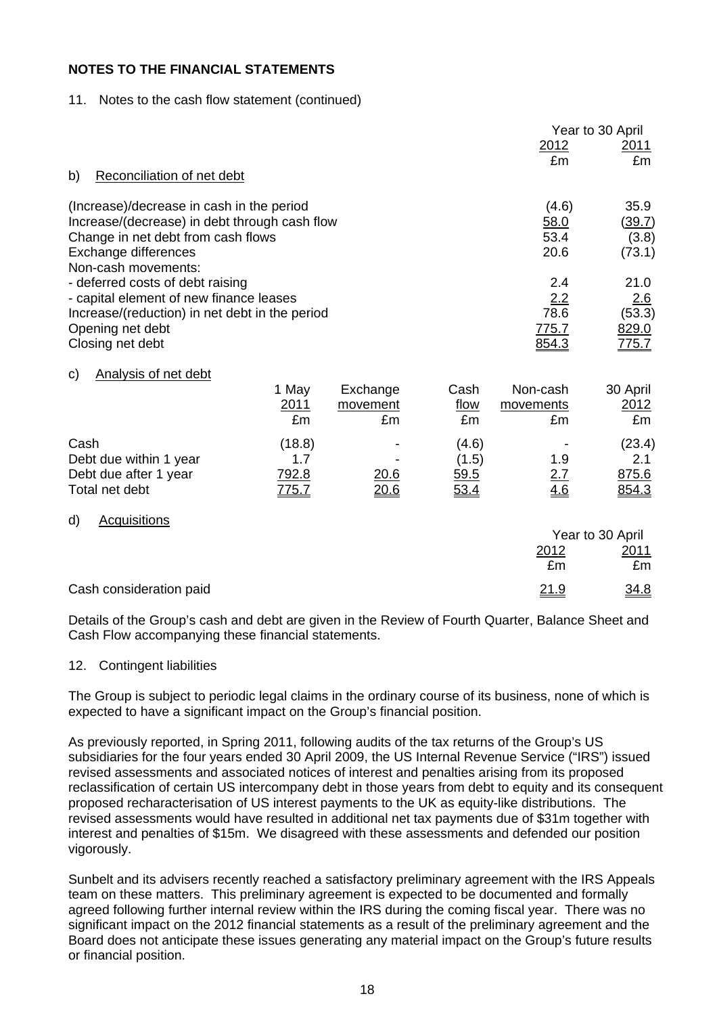## 11. Notes to the cash flow statement (continued)

|                                                         |              |              |       |            | Year to 30 April |
|---------------------------------------------------------|--------------|--------------|-------|------------|------------------|
|                                                         |              |              |       | 2012       | <u>2011</u>      |
| b)<br>Reconciliation of net debt                        |              |              |       | £m         | £m               |
|                                                         |              |              |       |            |                  |
| (Increase)/decrease in cash in the period               |              |              |       | (4.6)      | 35.9             |
| Increase/(decrease) in debt through cash flow           |              |              |       | 58.0       | (39.7)           |
| Change in net debt from cash flows                      |              |              |       | 53.4       | (3.8)            |
| Exchange differences                                    |              |              |       | 20.6       | (73.1)           |
| Non-cash movements:<br>- deferred costs of debt raising |              |              |       | 2.4        | 21.0             |
| - capital element of new finance leases                 |              |              |       | 2.2        | 2.6              |
| Increase/(reduction) in net debt in the period          |              |              |       | 78.6       | (53.3)           |
| Opening net debt                                        |              |              |       | 775.7      | 829.0            |
| Closing net debt                                        |              |              |       | 854.3      | <u>775.7</u>     |
| <b>Analysis of net debt</b><br>C)                       |              |              |       |            |                  |
|                                                         | 1 May        | Exchange     | Cash  | Non-cash   | 30 April         |
|                                                         | 2011         | movement     | flow  | movements  | 2012             |
|                                                         | £m           | £m           | £m    | £m         | £m               |
| Cash                                                    | (18.8)       |              | (4.6) |            | (23.4)           |
| Debt due within 1 year                                  | 1.7          |              | (1.5) | 1.9        | 2.1              |
| Debt due after 1 year                                   | 792.8        | <u> 20.6</u> | 59.5  | <u>2.7</u> | 875.6            |
| Total net debt                                          | <u>775.7</u> | <u> 20.6</u> | 53.4  | 4.6        | 854.3            |
| <b>Acquisitions</b><br>d)                               |              |              |       |            |                  |
|                                                         |              |              |       |            | Year to 30 April |
|                                                         |              |              |       | 2012       | <u>2011</u>      |
|                                                         |              |              |       | £m         | £m               |
| Cash consideration paid                                 |              |              |       | 21.9       | 34.8             |

Details of the Group's cash and debt are given in the Review of Fourth Quarter, Balance Sheet and Cash Flow accompanying these financial statements.

## 12. Contingent liabilities

The Group is subject to periodic legal claims in the ordinary course of its business, none of which is expected to have a significant impact on the Group's financial position.

As previously reported, in Spring 2011, following audits of the tax returns of the Group's US subsidiaries for the four years ended 30 April 2009, the US Internal Revenue Service ("IRS") issued revised assessments and associated notices of interest and penalties arising from its proposed reclassification of certain US intercompany debt in those years from debt to equity and its consequent proposed recharacterisation of US interest payments to the UK as equity-like distributions. The revised assessments would have resulted in additional net tax payments due of \$31m together with interest and penalties of \$15m. We disagreed with these assessments and defended our position vigorously.

Sunbelt and its advisers recently reached a satisfactory preliminary agreement with the IRS Appeals team on these matters. This preliminary agreement is expected to be documented and formally agreed following further internal review within the IRS during the coming fiscal year. There was no significant impact on the 2012 financial statements as a result of the preliminary agreement and the Board does not anticipate these issues generating any material impact on the Group's future results or financial position.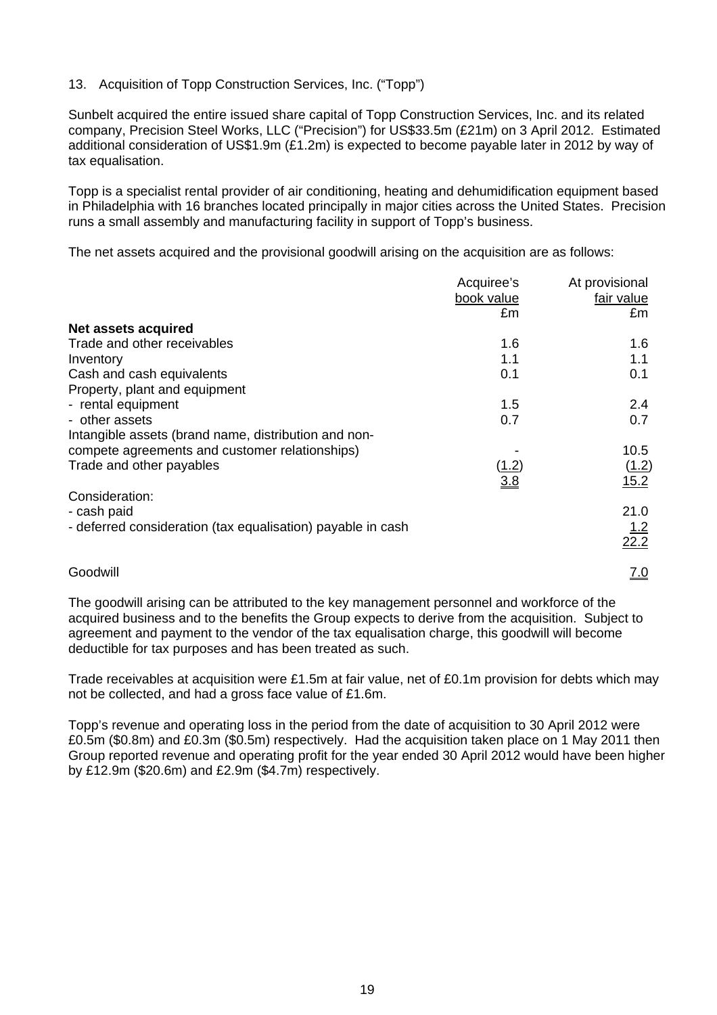## 13. Acquisition of Topp Construction Services, Inc. ("Topp")

Sunbelt acquired the entire issued share capital of Topp Construction Services, Inc. and its related company, Precision Steel Works, LLC ("Precision") for US\$33.5m (£21m) on 3 April 2012. Estimated additional consideration of US\$1.9m (£1.2m) is expected to become payable later in 2012 by way of tax equalisation.

Topp is a specialist rental provider of air conditioning, heating and dehumidification equipment based in Philadelphia with 16 branches located principally in major cities across the United States. Precision runs a small assembly and manufacturing facility in support of Topp's business.

The net assets acquired and the provisional goodwill arising on the acquisition are as follows:

|                                                             | Acquiree's | At provisional     |
|-------------------------------------------------------------|------------|--------------------|
|                                                             | book value | fair value         |
|                                                             | £m         | £m                 |
| Net assets acquired                                         |            |                    |
| Trade and other receivables                                 | 1.6        | 1.6                |
| Inventory                                                   | 1.1        | 1.1                |
| Cash and cash equivalents                                   | 0.1        | 0.1                |
| Property, plant and equipment                               |            |                    |
| - rental equipment                                          | 1.5        | 2.4                |
| - other assets                                              | 0.7        | 0.7                |
| Intangible assets (brand name, distribution and non-        |            |                    |
| compete agreements and customer relationships)              |            | 10.5               |
| Trade and other payables                                    | (1.2)      | (1.2)              |
|                                                             | 3.8        | 15.2               |
| Consideration:                                              |            |                    |
| - cash paid                                                 |            | 21.0               |
| - deferred consideration (tax equalisation) payable in cash |            |                    |
|                                                             |            | $\frac{1.2}{22.2}$ |
|                                                             |            |                    |
| Goodwill                                                    |            | <u>7.0</u>         |

The goodwill arising can be attributed to the key management personnel and workforce of the acquired business and to the benefits the Group expects to derive from the acquisition. Subject to agreement and payment to the vendor of the tax equalisation charge, this goodwill will become deductible for tax purposes and has been treated as such.

Trade receivables at acquisition were £1.5m at fair value, net of £0.1m provision for debts which may not be collected, and had a gross face value of £1.6m.

Topp's revenue and operating loss in the period from the date of acquisition to 30 April 2012 were £0.5m (\$0.8m) and £0.3m (\$0.5m) respectively. Had the acquisition taken place on 1 May 2011 then Group reported revenue and operating profit for the year ended 30 April 2012 would have been higher by £12.9m (\$20.6m) and £2.9m (\$4.7m) respectively.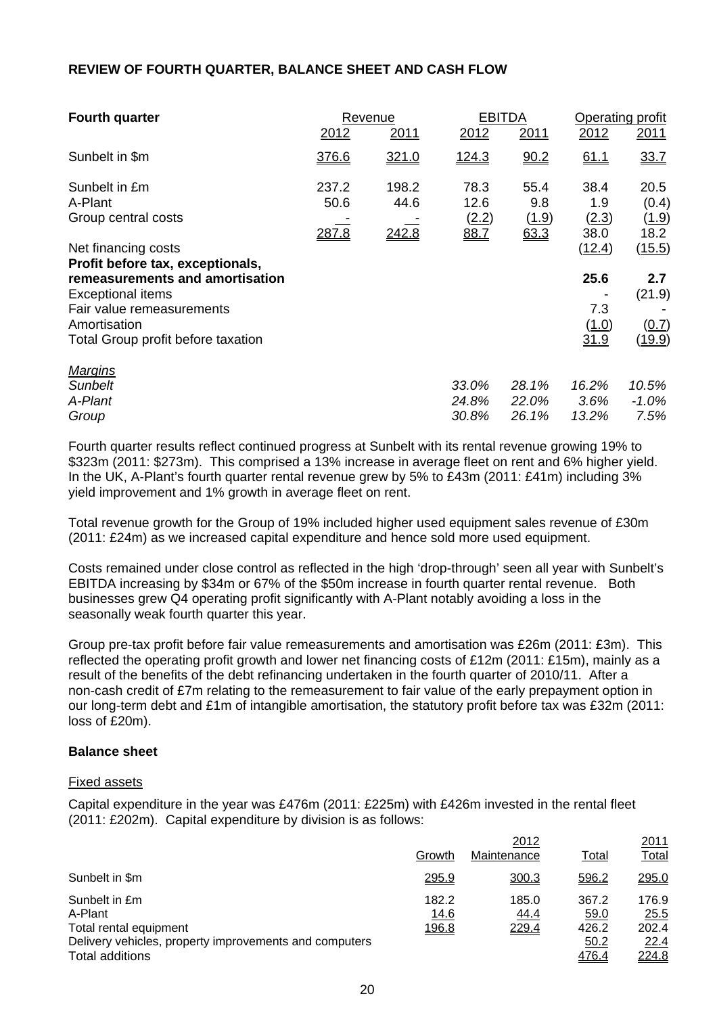### **REVIEW OF FOURTH QUARTER, BALANCE SHEET AND CASH FLOW**

| <b>Fourth quarter</b>                                   |                        | Revenue                |                               | <b>EBITDA</b>                |                              | Operating profit               |
|---------------------------------------------------------|------------------------|------------------------|-------------------------------|------------------------------|------------------------------|--------------------------------|
|                                                         | 2012                   | 2011                   | 2012                          | 2011                         | 2012                         | 2011                           |
| Sunbelt in \$m                                          | 376.6                  | 321.0                  | <u>124.3</u>                  | 90.2                         | 61.1                         | 33.7                           |
| Sunbelt in £m<br>A-Plant<br>Group central costs         | 237.2<br>50.6<br>287.8 | 198.2<br>44.6<br>242.8 | 78.3<br>12.6<br>(2.2)<br>88.7 | 55.4<br>9.8<br>(1.9)<br>63.3 | 38.4<br>1.9<br>(2.3)<br>38.0 | 20.5<br>(0.4)<br>(1.9)<br>18.2 |
| Net financing costs<br>Profit before tax, exceptionals, |                        |                        |                               |                              | (12.4)                       | (15.5)                         |
| remeasurements and amortisation<br>Exceptional items    |                        |                        |                               |                              | 25.6                         | 2.7<br>(21.9)                  |
| Fair value remeasurements<br>Amortisation               |                        |                        |                               |                              | 7.3<br>(1.0)                 | (0.7)                          |
| Total Group profit before taxation                      |                        |                        |                               |                              | <u>31.9</u>                  | (19.9)                         |
| <b>Margins</b>                                          |                        |                        |                               |                              |                              |                                |
| <b>Sunbelt</b>                                          |                        |                        | 33.0%                         | 28.1%                        | 16.2%                        | 10.5%                          |
| A-Plant                                                 |                        |                        | 24.8%                         | 22.0%                        | 3.6%                         | $-1.0\%$                       |
| Group                                                   |                        |                        | 30.8%                         | 26.1%                        | 13.2%                        | 7.5%                           |

Fourth quarter results reflect continued progress at Sunbelt with its rental revenue growing 19% to \$323m (2011: \$273m). This comprised a 13% increase in average fleet on rent and 6% higher yield. In the UK, A-Plant's fourth quarter rental revenue grew by 5% to £43m (2011: £41m) including 3% yield improvement and 1% growth in average fleet on rent.

Total revenue growth for the Group of 19% included higher used equipment sales revenue of £30m (2011: £24m) as we increased capital expenditure and hence sold more used equipment.

Costs remained under close control as reflected in the high 'drop-through' seen all year with Sunbelt's EBITDA increasing by \$34m or 67% of the \$50m increase in fourth quarter rental revenue. Both businesses grew Q4 operating profit significantly with A-Plant notably avoiding a loss in the seasonally weak fourth quarter this year.

Group pre-tax profit before fair value remeasurements and amortisation was £26m (2011: £3m). This reflected the operating profit growth and lower net financing costs of £12m (2011: £15m), mainly as a result of the benefits of the debt refinancing undertaken in the fourth quarter of 2010/11. After a non-cash credit of £7m relating to the remeasurement to fair value of the early prepayment option in our long-term debt and £1m of intangible amortisation, the statutory profit before tax was £32m (2011: loss of £20m).

#### **Balance sheet**

#### Fixed assets

Capital expenditure in the year was £476m (2011: £225m) with £426m invested in the rental fleet (2011: £202m). Capital expenditure by division is as follows:

|                                                                                                                                 |                               | 2012                   |                                         | 2011                                    |
|---------------------------------------------------------------------------------------------------------------------------------|-------------------------------|------------------------|-----------------------------------------|-----------------------------------------|
|                                                                                                                                 | Growth                        | Maintenance            | Total                                   | Total                                   |
| Sunbelt in \$m                                                                                                                  | 295.9                         | 300.3                  | 596.2                                   | 295.0                                   |
| Sunbelt in £m<br>A-Plant<br>Total rental equipment<br>Delivery vehicles, property improvements and computers<br>Total additions | 182.2<br>14.6<br><u>196.8</u> | 185.0<br>44.4<br>229.4 | 367.2<br>59.0<br>426.2<br>50.2<br>476.4 | 176.9<br>25.5<br>202.4<br>22.4<br>224.8 |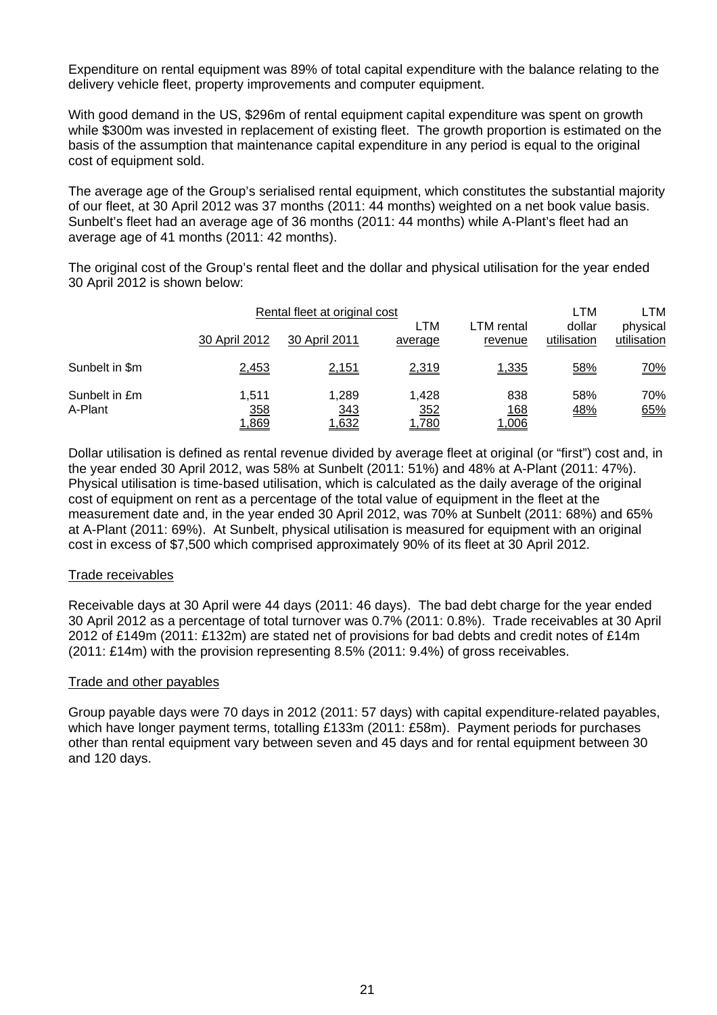Expenditure on rental equipment was 89% of total capital expenditure with the balance relating to the delivery vehicle fleet, property improvements and computer equipment.

With good demand in the US, \$296m of rental equipment capital expenditure was spent on growth while \$300m was invested in replacement of existing fleet. The growth proportion is estimated on the basis of the assumption that maintenance capital expenditure in any period is equal to the original cost of equipment sold.

The average age of the Group's serialised rental equipment, which constitutes the substantial majority of our fleet, at 30 April 2012 was 37 months (2011: 44 months) weighted on a net book value basis. Sunbelt's fleet had an average age of 36 months (2011: 44 months) while A-Plant's fleet had an average age of 41 months (2011: 42 months).

The original cost of the Group's rental fleet and the dollar and physical utilisation for the year ended 30 April 2012 is shown below:

|                          | Rental fleet at original cost |                       |                       |                                    | LTM                   | LTM                     |
|--------------------------|-------------------------------|-----------------------|-----------------------|------------------------------------|-----------------------|-------------------------|
|                          | 30 April 2012                 | 30 April 2011         | LTM<br>average        | LTM rental<br>revenue              | dollar<br>utilisation | physical<br>utilisation |
| Sunbelt in \$m           | 2,453                         | 2,151                 | 2,319                 | 1,335                              | 58%                   | <u>70%</u>              |
| Sunbelt in £m<br>A-Plant | 1.511<br><u>358</u><br>1,869  | 1.289<br>343<br>1,632 | 1.428<br>352<br>1,780 | 838<br><u> 168</u><br><u>1,006</u> | 58%<br><u>48%</u>     | 70%<br>65%              |

Dollar utilisation is defined as rental revenue divided by average fleet at original (or "first") cost and, in the year ended 30 April 2012, was 58% at Sunbelt (2011: 51%) and 48% at A-Plant (2011: 47%). Physical utilisation is time-based utilisation, which is calculated as the daily average of the original cost of equipment on rent as a percentage of the total value of equipment in the fleet at the measurement date and, in the year ended 30 April 2012, was 70% at Sunbelt (2011: 68%) and 65% at A-Plant (2011: 69%). At Sunbelt, physical utilisation is measured for equipment with an original cost in excess of \$7,500 which comprised approximately 90% of its fleet at 30 April 2012.

## Trade receivables

Receivable days at 30 April were 44 days (2011: 46 days). The bad debt charge for the year ended 30 April 2012 as a percentage of total turnover was 0.7% (2011: 0.8%). Trade receivables at 30 April 2012 of £149m (2011: £132m) are stated net of provisions for bad debts and credit notes of £14m (2011: £14m) with the provision representing 8.5% (2011: 9.4%) of gross receivables.

#### Trade and other payables

Group payable days were 70 days in 2012 (2011: 57 days) with capital expenditure-related payables, which have longer payment terms, totalling £133m (2011: £58m). Payment periods for purchases other than rental equipment vary between seven and 45 days and for rental equipment between 30 and 120 days.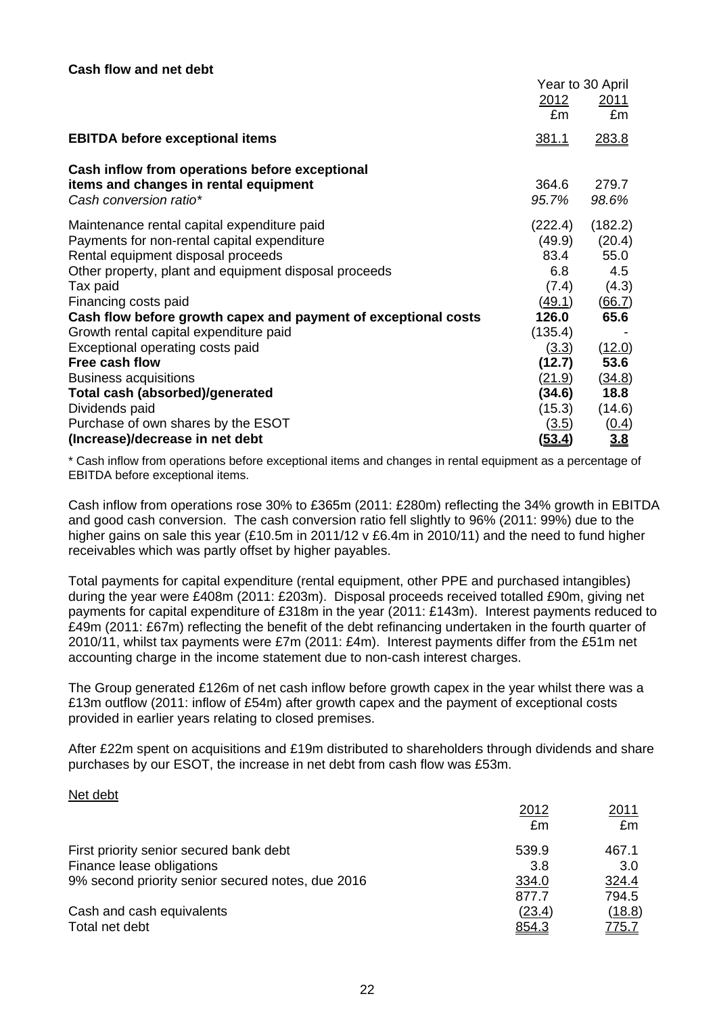|                                                                 | Year to 30 April |                |
|-----------------------------------------------------------------|------------------|----------------|
|                                                                 | 2012             | <u>2011</u>    |
|                                                                 | £m               | £m             |
| <b>EBITDA before exceptional items</b>                          | 381.1            | 283.8          |
| Cash inflow from operations before exceptional                  |                  |                |
| items and changes in rental equipment<br>Cash conversion ratio* | 364.6<br>95.7%   | 279.7<br>98.6% |
| Maintenance rental capital expenditure paid                     | (222.4)          | (182.2)        |
| Payments for non-rental capital expenditure                     | (49.9)           | (20.4)         |
| Rental equipment disposal proceeds                              | 83.4             | 55.0           |
| Other property, plant and equipment disposal proceeds           | 6.8              | 4.5            |
| Tax paid                                                        | (7.4)            | (4.3)          |
| Financing costs paid                                            | (49.1)           | (66.7)         |
| Cash flow before growth capex and payment of exceptional costs  | 126.0            | 65.6           |
| Growth rental capital expenditure paid                          | (135.4)          |                |
| Exceptional operating costs paid                                | (3.3)            | (12.0)         |
| Free cash flow                                                  | (12.7)           | 53.6           |
| <b>Business acquisitions</b>                                    | (21.9)           | (34.8)         |
| <b>Total cash (absorbed)/generated</b>                          | (34.6)           | 18.8           |
| Dividends paid                                                  | (15.3)           | (14.6)         |
| Purchase of own shares by the ESOT                              | (3.5)            | <u>(0.4)</u>   |
| (Increase)/decrease in net debt                                 | <u>(53.4)</u>    | 3.8            |

\* Cash inflow from operations before exceptional items and changes in rental equipment as a percentage of EBITDA before exceptional items.

Cash inflow from operations rose 30% to £365m (2011: £280m) reflecting the 34% growth in EBITDA and good cash conversion. The cash conversion ratio fell slightly to 96% (2011: 99%) due to the higher gains on sale this year (£10.5m in 2011/12 y £6.4m in 2010/11) and the need to fund higher receivables which was partly offset by higher payables.

Total payments for capital expenditure (rental equipment, other PPE and purchased intangibles) during the year were £408m (2011: £203m). Disposal proceeds received totalled £90m, giving net payments for capital expenditure of £318m in the year (2011: £143m). Interest payments reduced to £49m (2011: £67m) reflecting the benefit of the debt refinancing undertaken in the fourth quarter of 2010/11, whilst tax payments were £7m (2011: £4m). Interest payments differ from the £51m net accounting charge in the income statement due to non-cash interest charges.

The Group generated £126m of net cash inflow before growth capex in the year whilst there was a £13m outflow (2011: inflow of £54m) after growth capex and the payment of exceptional costs provided in earlier years relating to closed premises.

After £22m spent on acquisitions and £19m distributed to shareholders through dividends and share purchases by our ESOT, the increase in net debt from cash flow was £53m.

#### Net debt

|                                                   | 2012   | 2011         |
|---------------------------------------------------|--------|--------------|
|                                                   | £m     | £m           |
| First priority senior secured bank debt           | 539.9  | 467.1        |
| Finance lease obligations                         | 3.8    | 3.0          |
| 9% second priority senior secured notes, due 2016 | 334.0  | 324.4        |
|                                                   | 877.7  | 794.5        |
| Cash and cash equivalents                         | (23.4) | (18.8)       |
| Total net debt                                    | 854.3  | <u>775.7</u> |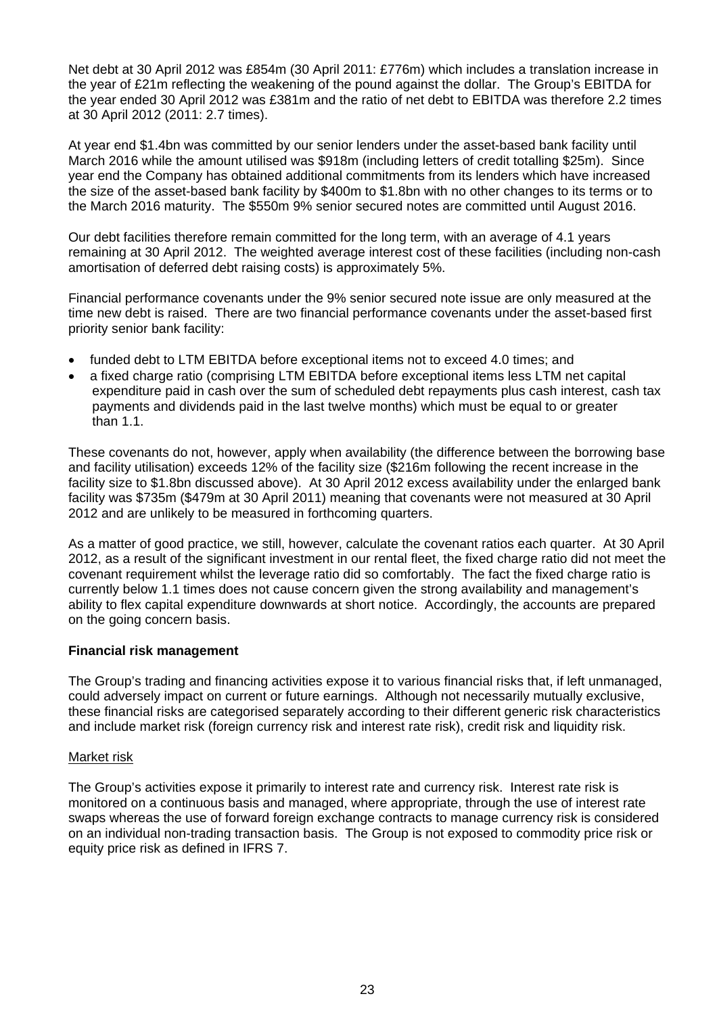Net debt at 30 April 2012 was £854m (30 April 2011: £776m) which includes a translation increase in the year of £21m reflecting the weakening of the pound against the dollar. The Group's EBITDA for the year ended 30 April 2012 was £381m and the ratio of net debt to EBITDA was therefore 2.2 times at 30 April 2012 (2011: 2.7 times).

At year end \$1.4bn was committed by our senior lenders under the asset-based bank facility until March 2016 while the amount utilised was \$918m (including letters of credit totalling \$25m). Since year end the Company has obtained additional commitments from its lenders which have increased the size of the asset-based bank facility by \$400m to \$1.8bn with no other changes to its terms or to the March 2016 maturity. The \$550m 9% senior secured notes are committed until August 2016.

Our debt facilities therefore remain committed for the long term, with an average of 4.1 years remaining at 30 April 2012. The weighted average interest cost of these facilities (including non-cash amortisation of deferred debt raising costs) is approximately 5%.

Financial performance covenants under the 9% senior secured note issue are only measured at the time new debt is raised. There are two financial performance covenants under the asset-based first priority senior bank facility:

- funded debt to LTM EBITDA before exceptional items not to exceed 4.0 times; and
- a fixed charge ratio (comprising LTM EBITDA before exceptional items less LTM net capital expenditure paid in cash over the sum of scheduled debt repayments plus cash interest, cash tax payments and dividends paid in the last twelve months) which must be equal to or greater than 1.1.

These covenants do not, however, apply when availability (the difference between the borrowing base and facility utilisation) exceeds 12% of the facility size (\$216m following the recent increase in the facility size to \$1.8bn discussed above). At 30 April 2012 excess availability under the enlarged bank facility was \$735m (\$479m at 30 April 2011) meaning that covenants were not measured at 30 April 2012 and are unlikely to be measured in forthcoming quarters.

As a matter of good practice, we still, however, calculate the covenant ratios each quarter. At 30 April 2012, as a result of the significant investment in our rental fleet, the fixed charge ratio did not meet the covenant requirement whilst the leverage ratio did so comfortably. The fact the fixed charge ratio is currently below 1.1 times does not cause concern given the strong availability and management's ability to flex capital expenditure downwards at short notice. Accordingly, the accounts are prepared on the going concern basis.

## **Financial risk management**

The Group's trading and financing activities expose it to various financial risks that, if left unmanaged, could adversely impact on current or future earnings. Although not necessarily mutually exclusive, these financial risks are categorised separately according to their different generic risk characteristics and include market risk (foreign currency risk and interest rate risk), credit risk and liquidity risk.

## Market risk

The Group's activities expose it primarily to interest rate and currency risk. Interest rate risk is monitored on a continuous basis and managed, where appropriate, through the use of interest rate swaps whereas the use of forward foreign exchange contracts to manage currency risk is considered on an individual non-trading transaction basis. The Group is not exposed to commodity price risk or equity price risk as defined in IFRS 7.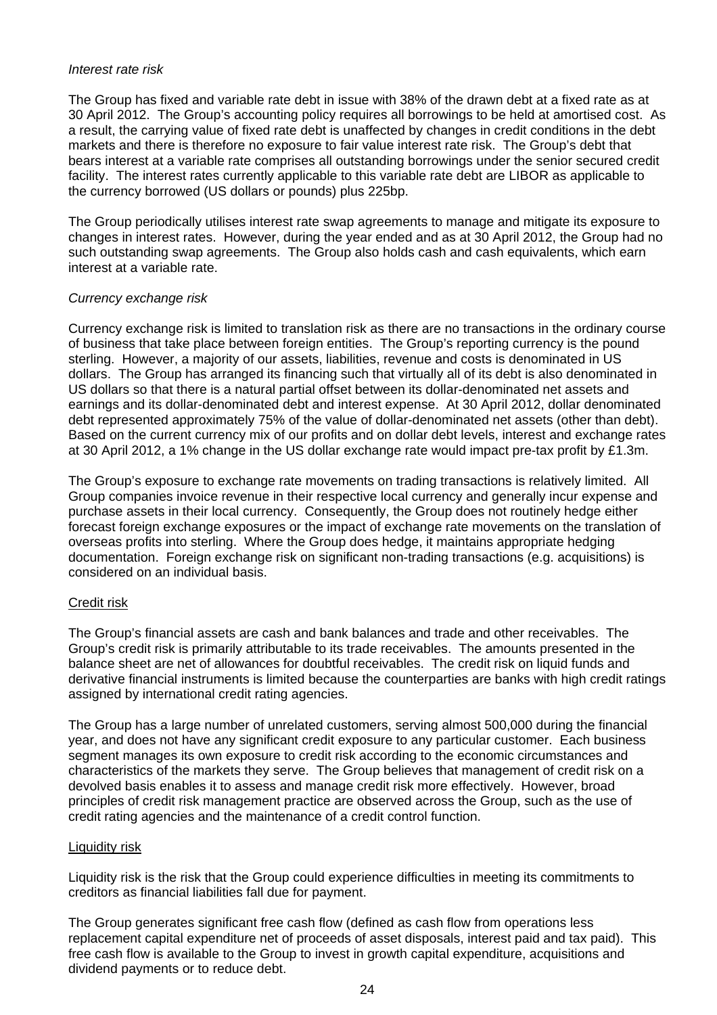#### *Interest rate risk*

The Group has fixed and variable rate debt in issue with 38% of the drawn debt at a fixed rate as at 30 April 2012. The Group's accounting policy requires all borrowings to be held at amortised cost. As a result, the carrying value of fixed rate debt is unaffected by changes in credit conditions in the debt markets and there is therefore no exposure to fair value interest rate risk. The Group's debt that bears interest at a variable rate comprises all outstanding borrowings under the senior secured credit facility. The interest rates currently applicable to this variable rate debt are LIBOR as applicable to the currency borrowed (US dollars or pounds) plus 225bp.

The Group periodically utilises interest rate swap agreements to manage and mitigate its exposure to changes in interest rates. However, during the year ended and as at 30 April 2012, the Group had no such outstanding swap agreements. The Group also holds cash and cash equivalents, which earn interest at a variable rate.

## *Currency exchange risk*

Currency exchange risk is limited to translation risk as there are no transactions in the ordinary course of business that take place between foreign entities. The Group's reporting currency is the pound sterling. However, a majority of our assets, liabilities, revenue and costs is denominated in US dollars. The Group has arranged its financing such that virtually all of its debt is also denominated in US dollars so that there is a natural partial offset between its dollar-denominated net assets and earnings and its dollar-denominated debt and interest expense. At 30 April 2012, dollar denominated debt represented approximately 75% of the value of dollar-denominated net assets (other than debt). Based on the current currency mix of our profits and on dollar debt levels, interest and exchange rates at 30 April 2012, a 1% change in the US dollar exchange rate would impact pre-tax profit by £1.3m.

The Group's exposure to exchange rate movements on trading transactions is relatively limited. All Group companies invoice revenue in their respective local currency and generally incur expense and purchase assets in their local currency. Consequently, the Group does not routinely hedge either forecast foreign exchange exposures or the impact of exchange rate movements on the translation of overseas profits into sterling. Where the Group does hedge, it maintains appropriate hedging documentation. Foreign exchange risk on significant non-trading transactions (e.g. acquisitions) is considered on an individual basis.

## Credit risk

The Group's financial assets are cash and bank balances and trade and other receivables. The Group's credit risk is primarily attributable to its trade receivables. The amounts presented in the balance sheet are net of allowances for doubtful receivables. The credit risk on liquid funds and derivative financial instruments is limited because the counterparties are banks with high credit ratings assigned by international credit rating agencies.

The Group has a large number of unrelated customers, serving almost 500,000 during the financial year, and does not have any significant credit exposure to any particular customer. Each business segment manages its own exposure to credit risk according to the economic circumstances and characteristics of the markets they serve. The Group believes that management of credit risk on a devolved basis enables it to assess and manage credit risk more effectively. However, broad principles of credit risk management practice are observed across the Group, such as the use of credit rating agencies and the maintenance of a credit control function.

## Liquidity risk

Liquidity risk is the risk that the Group could experience difficulties in meeting its commitments to creditors as financial liabilities fall due for payment.

The Group generates significant free cash flow (defined as cash flow from operations less replacement capital expenditure net of proceeds of asset disposals, interest paid and tax paid). This free cash flow is available to the Group to invest in growth capital expenditure, acquisitions and dividend payments or to reduce debt.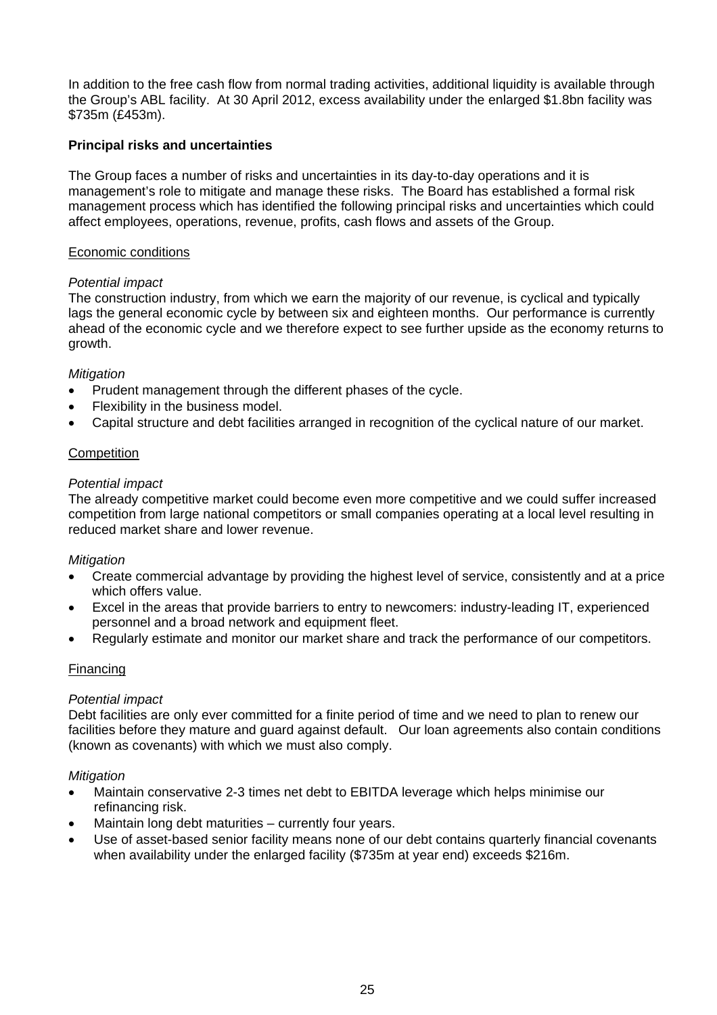In addition to the free cash flow from normal trading activities, additional liquidity is available through the Group's ABL facility. At 30 April 2012, excess availability under the enlarged \$1.8bn facility was \$735m (£453m).

## **Principal risks and uncertainties**

The Group faces a number of risks and uncertainties in its day-to-day operations and it is management's role to mitigate and manage these risks. The Board has established a formal risk management process which has identified the following principal risks and uncertainties which could affect employees, operations, revenue, profits, cash flows and assets of the Group.

### Economic conditions

### *Potential impact*

The construction industry, from which we earn the majority of our revenue, is cyclical and typically lags the general economic cycle by between six and eighteen months. Our performance is currently ahead of the economic cycle and we therefore expect to see further upside as the economy returns to growth.

## *Mitigation*

- Prudent management through the different phases of the cycle.
- Flexibility in the business model.
- Capital structure and debt facilities arranged in recognition of the cyclical nature of our market.

### **Competition**

### *Potential impact*

The already competitive market could become even more competitive and we could suffer increased competition from large national competitors or small companies operating at a local level resulting in reduced market share and lower revenue.

#### *Mitigation*

- Create commercial advantage by providing the highest level of service, consistently and at a price which offers value.
- Excel in the areas that provide barriers to entry to newcomers: industry-leading IT, experienced personnel and a broad network and equipment fleet.
- Regularly estimate and monitor our market share and track the performance of our competitors.

## Financing

#### *Potential impact*

Debt facilities are only ever committed for a finite period of time and we need to plan to renew our facilities before they mature and guard against default. Our loan agreements also contain conditions (known as covenants) with which we must also comply.

#### *Mitigation*

- Maintain conservative 2-3 times net debt to EBITDA leverage which helps minimise our refinancing risk.
- Maintain long debt maturities currently four years.
- Use of asset-based senior facility means none of our debt contains quarterly financial covenants when availability under the enlarged facility (\$735m at year end) exceeds \$216m.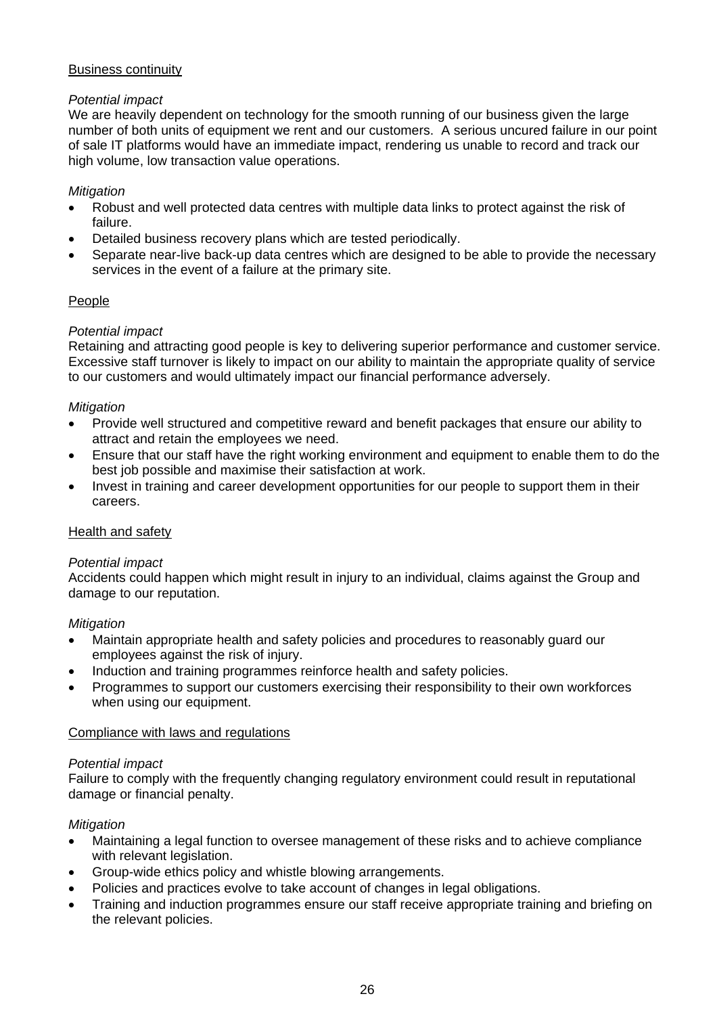## Business continuity

## *Potential impact*

We are heavily dependent on technology for the smooth running of our business given the large number of both units of equipment we rent and our customers. A serious uncured failure in our point of sale IT platforms would have an immediate impact, rendering us unable to record and track our high volume, low transaction value operations.

## *Mitigation*

- Robust and well protected data centres with multiple data links to protect against the risk of failure.
- Detailed business recovery plans which are tested periodically.
- Separate near-live back-up data centres which are designed to be able to provide the necessary services in the event of a failure at the primary site.

## People

## *Potential impact*

Retaining and attracting good people is key to delivering superior performance and customer service. Excessive staff turnover is likely to impact on our ability to maintain the appropriate quality of service to our customers and would ultimately impact our financial performance adversely.

## *Mitigation*

- Provide well structured and competitive reward and benefit packages that ensure our ability to attract and retain the employees we need.
- Ensure that our staff have the right working environment and equipment to enable them to do the best job possible and maximise their satisfaction at work.
- Invest in training and career development opportunities for our people to support them in their careers.

## Health and safety

## *Potential impact*

Accidents could happen which might result in injury to an individual, claims against the Group and damage to our reputation.

## *Mitigation*

- Maintain appropriate health and safety policies and procedures to reasonably guard our employees against the risk of injury.
- Induction and training programmes reinforce health and safety policies.
- Programmes to support our customers exercising their responsibility to their own workforces when using our equipment.

## Compliance with laws and regulations

## *Potential impact*

Failure to comply with the frequently changing regulatory environment could result in reputational damage or financial penalty.

## *Mitigation*

- Maintaining a legal function to oversee management of these risks and to achieve compliance with relevant legislation.
- Group-wide ethics policy and whistle blowing arrangements.
- Policies and practices evolve to take account of changes in legal obligations.
- Training and induction programmes ensure our staff receive appropriate training and briefing on the relevant policies.